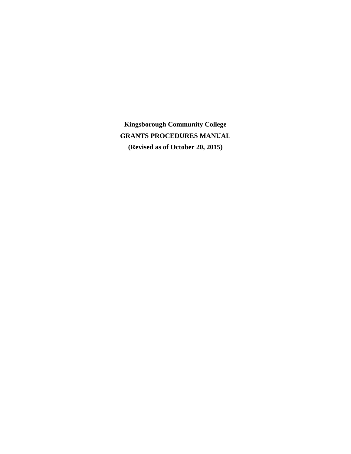**Kingsborough Community College GRANTS PROCEDURES MANUAL (Revised as of October 20, 2015)**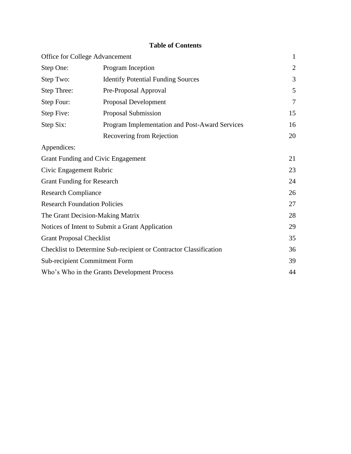# **Table of Contents**

|                                                        | Office for College Advancement                                    | $\mathbf{1}$ |  |  |  |  |
|--------------------------------------------------------|-------------------------------------------------------------------|--------------|--|--|--|--|
| Step One:<br>Program Inception                         |                                                                   |              |  |  |  |  |
| Step Two:<br><b>Identify Potential Funding Sources</b> |                                                                   |              |  |  |  |  |
| Step Three:                                            | Pre-Proposal Approval                                             | 5            |  |  |  |  |
| Proposal Development<br>Step Four:                     |                                                                   |              |  |  |  |  |
| Step Five:                                             | Proposal Submission                                               | 15           |  |  |  |  |
| Step Six:                                              | Program Implementation and Post-Award Services                    | 16           |  |  |  |  |
|                                                        | Recovering from Rejection                                         | 20           |  |  |  |  |
| Appendices:                                            |                                                                   |              |  |  |  |  |
|                                                        | Grant Funding and Civic Engagement                                | 21           |  |  |  |  |
| Civic Engagement Rubric                                |                                                                   | 23           |  |  |  |  |
| <b>Grant Funding for Research</b>                      |                                                                   | 24           |  |  |  |  |
| <b>Research Compliance</b>                             |                                                                   | 26           |  |  |  |  |
| <b>Research Foundation Policies</b>                    |                                                                   | 27           |  |  |  |  |
|                                                        | The Grant Decision-Making Matrix                                  | 28           |  |  |  |  |
|                                                        | Notices of Intent to Submit a Grant Application                   | 29           |  |  |  |  |
| <b>Grant Proposal Checklist</b>                        |                                                                   | 35           |  |  |  |  |
|                                                        | Checklist to Determine Sub-recipient or Contractor Classification | 36           |  |  |  |  |
|                                                        | <b>Sub-recipient Commitment Form</b>                              | 39           |  |  |  |  |
|                                                        | Who's Who in the Grants Development Process                       | 44           |  |  |  |  |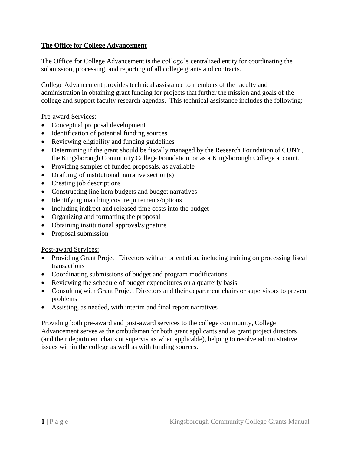### **The Office for College Advancement**

The Office for College Advancement is the college's centralized entity for coordinating the submission, processing, and reporting of all college grants and contracts.

College Advancement provides technical assistance to members of the faculty and administration in obtaining grant funding for projects that further the mission and goals of the college and support faculty research agendas. This technical assistance includes the following:

Pre-award Services:

- Conceptual proposal development
- Identification of potential funding sources
- Reviewing eligibility and funding guidelines
- Determining if the grant should be fiscally managed by the Research Foundation of CUNY, the Kingsborough Community College Foundation, or as a Kingsborough College account.
- Providing samples of funded proposals, as available
- Drafting of institutional narrative section(s)
- Creating job descriptions
- Constructing line item budgets and budget narratives
- Identifying matching cost requirements/options
- Including indirect and released time costs into the budget
- Organizing and formatting the proposal
- Obtaining institutional approval/signature
- Proposal submission

Post-award Services:

- Providing Grant Project Directors with an orientation, including training on processing fiscal transactions
- Coordinating submissions of budget and program modifications
- Reviewing the schedule of budget expenditures on a quarterly basis
- Consulting with Grant Project Directors and their department chairs or supervisors to prevent problems
- Assisting, as needed, with interim and final report narratives

Providing both pre-award and post-award services to the college community, College Advancement serves as the ombudsman for both grant applicants and as grant project directors (and their department chairs or supervisors when applicable), helping to resolve administrative issues within the college as well as with funding sources.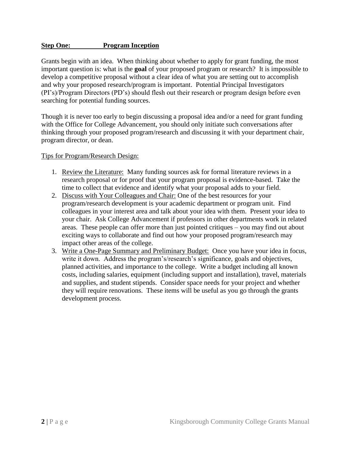#### **Step One: Program Inception**

Grants begin with an idea. When thinking about whether to apply for grant funding, the most important question is: what is the **goal** of your proposed program or research? It is impossible to develop a competitive proposal without a clear idea of what you are setting out to accomplish and why your proposed research/program is important. Potential Principal Investigators (PI's)/Program Directors (PD's) should flesh out their research or program design before even searching for potential funding sources.

Though it is never too early to begin discussing a proposal idea and/or a need for grant funding with the Office for College Advancement, you should only initiate such conversations after thinking through your proposed program/research and discussing it with your department chair, program director, or dean.

#### Tips for Program/Research Design:

- 1. Review the Literature: Many funding sources ask for formal literature reviews in a research proposal or for proof that your program proposal is evidence-based. Take the time to collect that evidence and identify what your proposal adds to your field.
- 2. Discuss with Your Colleagues and Chair: One of the best resources for your program/research development is your academic department or program unit. Find colleagues in your interest area and talk about your idea with them. Present your idea to your chair. Ask College Advancement if professors in other departments work in related areas. These people can offer more than just pointed critiques – you may find out about exciting ways to collaborate and find out how your proposed program/research may impact other areas of the college.
- 3. Write a One-Page Summary and Preliminary Budget: Once you have your idea in focus, write it down. Address the program's/research's significance, goals and objectives, planned activities, and importance to the college. Write a budget including all known costs, including salaries, equipment (including support and installation), travel, materials and supplies, and student stipends. Consider space needs for your project and whether they will require renovations. These items will be useful as you go through the grants development process.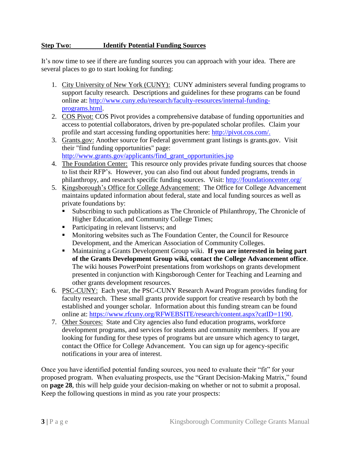### **Step Two: Identify Potential Funding Sources**

It's now time to see if there are funding sources you can approach with your idea. There are several places to go to start looking for funding:

- 1. City University of New York (CUNY): CUNY administers several funding programs to support faculty research. Descriptions and guidelines for these programs can be found online at: [http://www.cuny.edu/research/faculty-resources/internal-funding](http://www.cuny.edu/research/faculty-resources/internal-funding-programs.html)[programs.html.](http://www.cuny.edu/research/faculty-resources/internal-funding-programs.html)
- 2. COS Pivot: COS Pivot provides a comprehensive database of funding opportunities and access to potential collaborators, driven by pre-populated scholar profiles. Claim your profile and start accessing funding opportunities here: [http://pivot.cos.com/.](http://pivot.cos.com/)
- 3. Grants.gov: Another source for Federal government grant listings is grants.gov. Visit their "find funding opportunities" page: [http://www.grants.gov/applicants/find\\_grant\\_opportunities.jsp](http://www.grants.gov/applicants/find_grant_opportunities.jsp)
- 4. The Foundation Center: This resource only provides private funding sources that choose to list their RFP's. However, you can also find out about funded programs, trends in
- philanthropy, and research specific funding sources. Visit:<http://foundationcenter.org/>
- 5. Kingsborough's Office for College Advancement: The Office for College Advancement maintains updated information about federal, state and local funding sources as well as private foundations by:
	- Subscribing to such publications as The Chronicle of Philanthropy, The Chronicle of Higher Education, and Community College Times;
	- Participating in relevant listservs; and
	- **Monitoring websites such as The Foundation Center, the Council for Resource** Development, and the American Association of Community Colleges.
	- Maintaining a Grants Development Group wiki. **If you are interested in being part of the Grants Development Group wiki, contact the College Advancement office**. The wiki houses PowerPoint presentations from workshops on grants development presented in conjunction with Kingsborough Center for Teaching and Learning and other grants development resources.
- 6. PSC-CUNY: Each year, the PSC-CUNY Research Award Program provides funding for faculty research. These small grants provide support for creative research by both the established and younger scholar. Information about this funding stream can be found online at: [https://www.rfcuny.org/RFWEBSITE/research/content.aspx?catID=1190.](https://www.rfcuny.org/RFWEBSITE/research/content.aspx?catID=1190)
- 7. Other Sources: State and City agencies also fund education programs, workforce development programs, and services for students and community members. If you are looking for funding for these types of programs but are unsure which agency to target, contact the Office for College Advancement. You can sign up for agency-specific notifications in your area of interest.

Once you have identified potential funding sources, you need to evaluate their "fit" for your proposed program. When evaluating prospects, use the "Grant Decision-Making Matrix," found on **page 28**, this will help guide your decision-making on whether or not to submit a proposal. Keep the following questions in mind as you rate your prospects: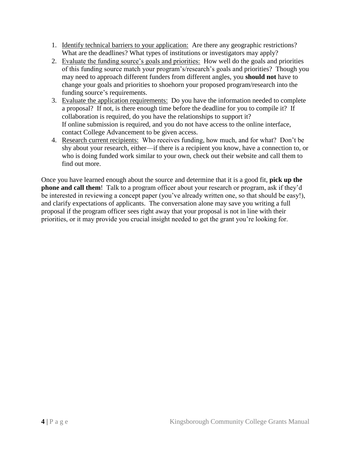- 1. Identify technical barriers to your application: Are there any geographic restrictions? What are the deadlines? What types of institutions or investigators may apply?
- 2. Evaluate the funding source's goals and priorities: How well do the goals and priorities of this funding source match your program's/research's goals and priorities? Though you may need to approach different funders from different angles, you **should not** have to change your goals and priorities to shoehorn your proposed program/research into the funding source's requirements.
- 3. Evaluate the application requirements: Do you have the information needed to complete a proposal? If not, is there enough time before the deadline for you to compile it? If collaboration is required, do you have the relationships to support it? If online submission is required, and you do not have access to the online interface, contact College Advancement to be given access.
- 4. Research current recipients: Who receives funding, how much, and for what? Don't be shy about your research, either—if there is a recipient you know, have a connection to, or who is doing funded work similar to your own, check out their website and call them to find out more.

Once you have learned enough about the source and determine that it is a good fit, **pick up the phone and call them**! Talk to a program officer about your research or program, ask if they'd be interested in reviewing a concept paper (you've already written one, so that should be easy!), and clarify expectations of applicants. The conversation alone may save you writing a full proposal if the program officer sees right away that your proposal is not in line with their priorities, or it may provide you crucial insight needed to get the grant you're looking for.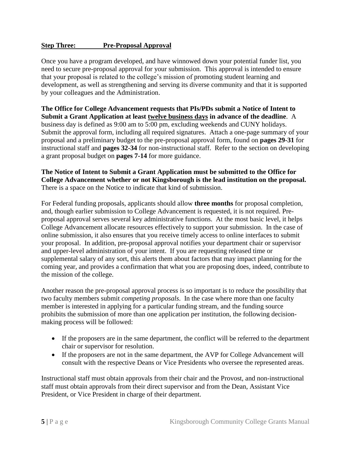### **Step Three:** Pre-Proposal Approval

Once you have a program developed, and have winnowed down your potential funder list, you need to secure pre-proposal approval for your submission. This approval is intended to ensure that your proposal is related to the college's mission of promoting student learning and development, as well as strengthening and serving its diverse community and that it is supported by your colleagues and the Administration.

**The Office for College Advancement requests that PIs/PDs submit a Notice of Intent to Submit a Grant Application at least twelve business days in advance of the deadline**. A business day is defined as 9:00 am to 5:00 pm, excluding weekends and CUNY holidays. Submit the approval form, including all required signatures. Attach a one-page summary of your proposal and a preliminary budget to the pre-proposal approval form, found on **pages 29-31** for instructional staff and **pages 32-34** for non-instructional staff. Refer to the section on developing a grant proposal budget on **pages 7-14** for more guidance.

#### **The Notice of Intent to Submit a Grant Application must be submitted to the Office for College Advancement whether or not Kingsborough is the lead institution on the proposal.** There is a space on the Notice to indicate that kind of submission.

For Federal funding proposals, applicants should allow **three months** for proposal completion, and, though earlier submission to College Advancement is requested, it is not required. Preproposal approval serves several key administrative functions. At the most basic level, it helps College Advancement allocate resources effectively to support your submission. In the case of online submission, it also ensures that you receive timely access to online interfaces to submit your proposal. In addition, pre-proposal approval notifies your department chair or supervisor and upper-level administration of your intent. If you are requesting released time or supplemental salary of any sort, this alerts them about factors that may impact planning for the coming year, and provides a confirmation that what you are proposing does, indeed, contribute to the mission of the college.

Another reason the pre-proposal approval process is so important is to reduce the possibility that two faculty members submit *competing proposals*. In the case where more than one faculty member is interested in applying for a particular funding stream, and the funding source prohibits the submission of more than one application per institution, the following decisionmaking process will be followed:

- If the proposers are in the same department, the conflict will be referred to the department chair or supervisor for resolution.
- If the proposers are not in the same department, the AVP for College Advancement will consult with the respective Deans or Vice Presidents who oversee the represented areas.

Instructional staff must obtain approvals from their chair and the Provost, and non-instructional staff must obtain approvals from their direct supervisor and from the Dean, Assistant Vice President, or Vice President in charge of their department.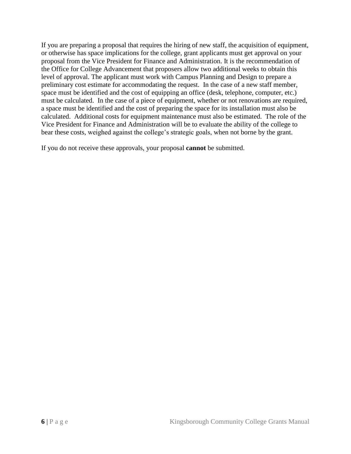If you are preparing a proposal that requires the hiring of new staff, the acquisition of equipment, or otherwise has space implications for the college, grant applicants must get approval on your proposal from the Vice President for Finance and Administration. It is the recommendation of the Office for College Advancement that proposers allow two additional weeks to obtain this level of approval. The applicant must work with Campus Planning and Design to prepare a preliminary cost estimate for accommodating the request. In the case of a new staff member, space must be identified and the cost of equipping an office (desk, telephone, computer, etc.) must be calculated. In the case of a piece of equipment, whether or not renovations are required, a space must be identified and the cost of preparing the space for its installation must also be calculated. Additional costs for equipment maintenance must also be estimated. The role of the Vice President for Finance and Administration will be to evaluate the ability of the college to bear these costs, weighed against the college's strategic goals, when not borne by the grant.

If you do not receive these approvals, your proposal **cannot** be submitted.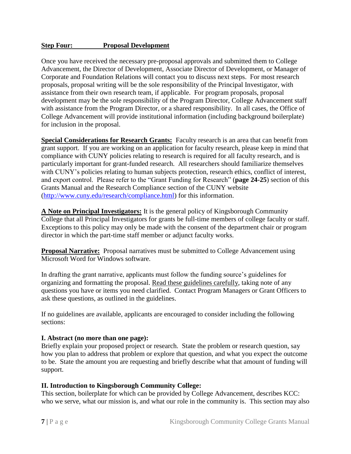#### **Step Four: Proposal Development**

Once you have received the necessary pre-proposal approvals and submitted them to College Advancement, the Director of Development, Associate Director of Development, or Manager of Corporate and Foundation Relations will contact you to discuss next steps. For most research proposals, proposal writing will be the sole responsibility of the Principal Investigator, with assistance from their own research team, if applicable. For program proposals, proposal development may be the sole responsibility of the Program Director, College Advancement staff with assistance from the Program Director, or a shared responsibility. In all cases, the Office of College Advancement will provide institutional information (including background boilerplate) for inclusion in the proposal.

**Special Considerations for Research Grants:** Faculty research is an area that can benefit from grant support. If you are working on an application for faculty research, please keep in mind that compliance with CUNY policies relating to research is required for all faculty research, and is particularly important for grant-funded research. All researchers should familiarize themselves with CUNY's policies relating to human subjects protection, research ethics, conflict of interest, and export control. Please refer to the "Grant Funding for Research" (**page 24-25**) section of this Grants Manual and the Research Compliance section of the CUNY website [\(http://www.cuny.edu/research/compliance.html\)](http://www.cuny.edu/research/compliance.html) for this information.

**A Note on Principal Investigators:** It is the general policy of Kingsborough Community College that all Principal Investigators for grants be full-time members of college faculty or staff. Exceptions to this policy may only be made with the consent of the department chair or program director in which the part-time staff member or adjunct faculty works.

**Proposal Narrative:** Proposal narratives must be submitted to College Advancement using Microsoft Word for Windows software.

In drafting the grant narrative, applicants must follow the funding source's guidelines for organizing and formatting the proposal. Read these guidelines carefully, taking note of any questions you have or items you need clarified. Contact Program Managers or Grant Officers to ask these questions, as outlined in the guidelines.

If no guidelines are available, applicants are encouraged to consider including the following sections:

#### **I. Abstract (no more than one page):**

Briefly explain your proposed project or research. State the problem or research question, say how you plan to address that problem or explore that question, and what you expect the outcome to be. State the amount you are requesting and briefly describe what that amount of funding will support.

### **II. Introduction to Kingsborough Community College:**

This section, boilerplate for which can be provided by College Advancement, describes KCC: who we serve, what our mission is, and what our role in the community is. This section may also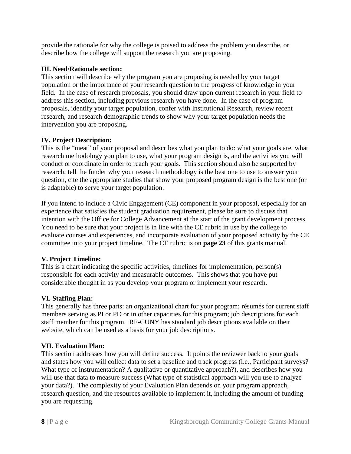provide the rationale for why the college is poised to address the problem you describe, or describe how the college will support the research you are proposing.

### **III. Need/Rationale section:**

This section will describe why the program you are proposing is needed by your target population or the importance of your research question to the progress of knowledge in your field. In the case of research proposals, you should draw upon current research in your field to address this section, including previous research you have done. In the case of program proposals, identify your target population, confer with Institutional Research, review recent research, and research demographic trends to show why your target population needs the intervention you are proposing.

## **IV. Project Description:**

This is the "meat" of your proposal and describes what you plan to do: what your goals are, what research methodology you plan to use, what your program design is, and the activities you will conduct or coordinate in order to reach your goals. This section should also be supported by research; tell the funder why your research methodology is the best one to use to answer your question, cite the appropriate studies that show your proposed program design is the best one (or is adaptable) to serve your target population.

If you intend to include a Civic Engagement (CE) component in your proposal, especially for an experience that satisfies the student graduation requirement, please be sure to discuss that intention with the Office for College Advancement at the start of the grant development process. You need to be sure that your project is in line with the CE rubric in use by the college to evaluate courses and experiences, and incorporate evaluation of your proposed activity by the CE committee into your project timeline. The CE rubric is on **page 23** of this grants manual.

### **V. Project Timeline:**

This is a chart indicating the specific activities, timelines for implementation, person(s) responsible for each activity and measurable outcomes. This shows that you have put considerable thought in as you develop your program or implement your research.

### **VI. Staffing Plan:**

This generally has three parts: an organizational chart for your program; résumés for current staff members serving as PI or PD or in other capacities for this program; job descriptions for each staff member for this program. RF-CUNY has standard job descriptions available on their website, which can be used as a basis for your job descriptions.

### **VII. Evaluation Plan:**

This section addresses how you will define success. It points the reviewer back to your goals and states how you will collect data to set a baseline and track progress (i.e., Participant surveys? What type of instrumentation? A qualitative or quantitative approach?), and describes how you will use that data to measure success (What type of statistical approach will you use to analyze your data?). The complexity of your Evaluation Plan depends on your program approach, research question, and the resources available to implement it, including the amount of funding you are requesting.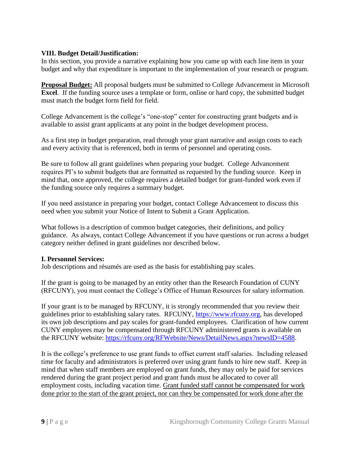### **VIII. Budget Detail/Justification:**

In this section, you provide a narrative explaining how you came up with each line item in your budget and why that expenditure is important to the implementation of your research or program.

**Proposal Budget:** All proposal budgets must be submitted to College Advancement in Microsoft **Excel.** If the funding source uses a template or form, online or hard copy, the submitted budget must match the budget form field for field.

College Advancement is the college's "one-stop" center for constructing grant budgets and is available to assist grant applicants at any point in the budget development process.

As a first step in budget preparation, read through your grant narrative and assign costs to each and every activity that is referenced, both in terms of personnel and operating costs.

Be sure to follow all grant guidelines when preparing your budget. College Advancement requires PI's to submit budgets that are formatted as requested by the funding source. Keep in mind that, once approved, the college requires a detailed budget for grant-funded work even if the funding source only requires a summary budget.

If you need assistance in preparing your budget, contact College Advancement to discuss this need when you submit your Notice of Intent to Submit a Grant Application.

What follows is a description of common budget categories, their definitions, and policy guidance. As always, contact College Advancement if you have questions or run across a budget category neither defined in grant guidelines nor described below.

### **I. Personnel Services:**

Job descriptions and résumés are used as the basis for establishing pay scales.

If the grant is going to be managed by an entity other than the Research Foundation of CUNY (RFCUNY), you must contact the College's Office of Human Resources for salary information.

If your grant is to be managed by RFCUNY, it is strongly recommended that you review their guidelines prior to establishing salary rates. RFCUNY, [https://www.rfcuny.org,](https://www.rfcuny.org/RFWebsite/) has developed its own job descriptions and pay scales for grant-funded employees. Clarification of how current CUNY employees may be compensated through RFCUNY administered grants is available on the RFCUNY website: [https://rfcuny.org/RFWebsite/News/DetailNews.aspx?newsID=4588.](https://rfcuny.org/RFWebsite/News/DetailNews.aspx?newsID=4588)

It is the college's preference to use grant funds to offset current staff salaries. Including released time for faculty and administrators is preferred over using grant funds to hire new staff. Keep in mind that when staff members are employed on grant funds, they may only be paid for services rendered during the grant project period and grant funds must be allocated to cover all employment costs, including vacation time. Grant funded staff cannot be compensated for work done prior to the start of the grant project, nor can they be compensated for work done after the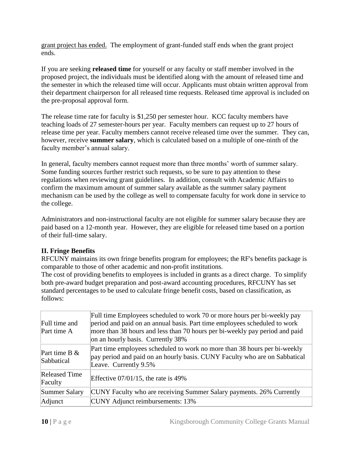grant project has ended. The employment of grant-funded staff ends when the grant project ends.

If you are seeking **released time** for yourself or any faculty or staff member involved in the proposed project, the individuals must be identified along with the amount of released time and the semester in which the released time will occur. Applicants must obtain written approval from their department chairperson for all released time requests. Released time approval is included on the pre-proposal approval form.

The release time rate for faculty is \$1,250 per semester hour. KCC faculty members have teaching loads of 27 semester-hours per year. Faculty members can request up to 27 hours of release time per year. Faculty members cannot receive released time over the summer. They can, however, receive **summer salary**, which is calculated based on a multiple of one-ninth of the faculty member's annual salary.

In general, faculty members cannot request more than three months' worth of summer salary. Some funding sources further restrict such requests, so be sure to pay attention to these regulations when reviewing grant guidelines. In addition, consult with Academic Affairs to confirm the maximum amount of summer salary available as the summer salary payment mechanism can be used by the college as well to compensate faculty for work done in service to the college.

Administrators and non-instructional faculty are not eligible for summer salary because they are paid based on a 12-month year. However, they are eligible for released time based on a portion of their full-time salary.

### **II. Fringe Benefits**

RFCUNY maintains its own fringe benefits program for employees; the RF's benefits package is comparable to those of other academic and non-profit institutions.

The cost of providing benefits to employees is included in grants as a direct charge. To simplify both pre-award budget preparation and post-award accounting procedures, RFCUNY has set standard percentages to be used to calculate fringe benefit costs, based on classification, as follows:

| Full time and<br>Part time A    | Full time Employees scheduled to work 70 or more hours per bi-weekly pay<br>period and paid on an annual basis. Part time employees scheduled to work<br>more than 38 hours and less than 70 hours per bi-weekly pay period and paid<br>on an hourly basis. Currently 38% |
|---------------------------------|---------------------------------------------------------------------------------------------------------------------------------------------------------------------------------------------------------------------------------------------------------------------------|
| Part time B $&$<br>Sabbatical   | Part time employees scheduled to work no more than 38 hours per bi-weekly<br>pay period and paid on an hourly basis. CUNY Faculty who are on Sabbatical<br>Leave. Currently 9.5%                                                                                          |
| <b>Released Time</b><br>Faculty | Effective $07/01/15$ , the rate is 49%                                                                                                                                                                                                                                    |
| Summer Salary                   | CUNY Faculty who are receiving Summer Salary payments. 26% Currently                                                                                                                                                                                                      |
| Adjunct                         | <b>CUNY</b> Adjunct reimbursements: 13%                                                                                                                                                                                                                                   |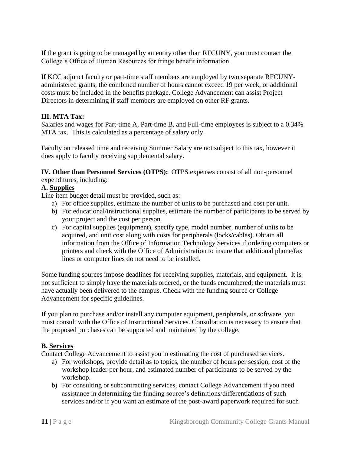If the grant is going to be managed by an entity other than RFCUNY, you must contact the College's Office of Human Resources for fringe benefit information.

If KCC adjunct faculty or part-time staff members are employed by two separate RFCUNYadministered grants, the combined number of hours cannot exceed 19 per week, or additional costs must be included in the benefits package. College Advancement can assist Project Directors in determining if staff members are employed on other RF grants.

### **III. MTA Tax:**

Salaries and wages for Part-time A, Part-time B, and Full-time employees is subject to a 0.34% MTA tax. This is calculated as a percentage of salary only.

Faculty on released time and receiving Summer Salary are not subject to this tax, however it does apply to faculty receiving supplemental salary.

**IV. Other than Personnel Services (OTPS):** OTPS expenses consist of all non-personnel expenditures, including:

# **A. Supplies**

Line item budget detail must be provided, such as:

- a) For office supplies, estimate the number of units to be purchased and cost per unit.
- b) For educational/instructional supplies, estimate the number of participants to be served by your project and the cost per person.
- c) For capital supplies (equipment), specify type, model number, number of units to be acquired, and unit cost along with costs for peripherals (locks/cables). Obtain all information from the Office of Information Technology Services if ordering computers or printers and check with the Office of Administration to insure that additional phone/fax lines or computer lines do not need to be installed.

Some funding sources impose deadlines for receiving supplies, materials, and equipment. It is not sufficient to simply have the materials ordered, or the funds encumbered; the materials must have actually been delivered to the campus. Check with the funding source or College Advancement for specific guidelines.

If you plan to purchase and/or install any computer equipment, peripherals, or software, you must consult with the Office of Instructional Services. Consultation is necessary to ensure that the proposed purchases can be supported and maintained by the college.

#### **B. Services**

Contact College Advancement to assist you in estimating the cost of purchased services.

- a) For workshops, provide detail as to topics, the number of hours per session, cost of the workshop leader per hour, and estimated number of participants to be served by the workshop.
- b) For consulting or subcontracting services, contact College Advancement if you need assistance in determining the funding source's definitions/differentiations of such services and/or if you want an estimate of the post-award paperwork required for such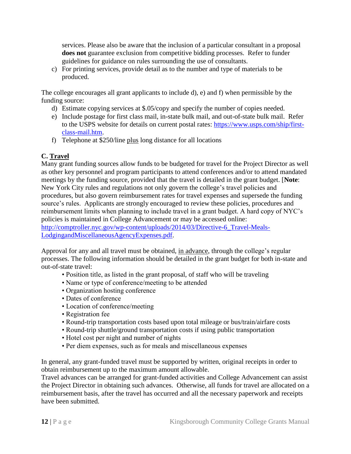services. Please also be aware that the inclusion of a particular consultant in a proposal **does not** guarantee exclusion from competitive bidding processes. Refer to funder guidelines for guidance on rules surrounding the use of consultants.

c) For printing services, provide detail as to the number and type of materials to be produced.

The college encourages all grant applicants to include d), e) and f) when permissible by the funding source:

- d) Estimate copying services at \$.05/copy and specify the number of copies needed.
- e) Include postage for first class mail, in-state bulk mail, and out-of-state bulk mail. Refer to the USPS website for details on current postal rates: [https://www.usps.com/ship/first](https://www.usps.com/ship/first-class-mail.htm)[class-mail.htm.](https://www.usps.com/ship/first-class-mail.htm)
- f) Telephone at \$250/line plus long distance for all locations

# **C. Travel**

Many grant funding sources allow funds to be budgeted for travel for the Project Director as well as other key personnel and program participants to attend conferences and/or to attend mandated meetings by the funding source, provided that the travel is detailed in the grant budget. [**Note**: New York City rules and regulations not only govern the college's travel policies and procedures, but also govern reimbursement rates for travel expenses and supersede the funding source's rules. Applicants are strongly encouraged to review these policies, procedures and reimbursement limits when planning to include travel in a grant budget. A hard copy of NYC's policies is maintained in College Advancement or may be accessed online: [http://comptroller.nyc.gov/wp-content/uploads/2014/03/Directive-6\\_Travel-Meals-](http://comptroller.nyc.gov/wp-content/uploads/2014/03/Directive-6_Travel-Meals-LodgingandMiscellaneousAgencyExpenses.pdf)[LodgingandMiscellaneousAgencyExpenses.pdf.](http://comptroller.nyc.gov/wp-content/uploads/2014/03/Directive-6_Travel-Meals-LodgingandMiscellaneousAgencyExpenses.pdf)

Approval for any and all travel must be obtained, in advance, through the college's regular processes. The following information should be detailed in the grant budget for both in-state and out-of-state travel:

- Position title, as listed in the grant proposal, of staff who will be traveling
- Name or type of conference/meeting to be attended
- Organization hosting conference
- Dates of conference
- Location of conference/meeting
- Registration fee
- Round-trip transportation costs based upon total mileage or bus/train/airfare costs
- Round-trip shuttle/ground transportation costs if using public transportation
- Hotel cost per night and number of nights
- Per diem expenses, such as for meals and miscellaneous expenses

In general, any grant-funded travel must be supported by written, original receipts in order to obtain reimbursement up to the maximum amount allowable.

Travel advances can be arranged for grant-funded activities and College Advancement can assist the Project Director in obtaining such advances. Otherwise, all funds for travel are allocated on a reimbursement basis, after the travel has occurred and all the necessary paperwork and receipts have been submitted.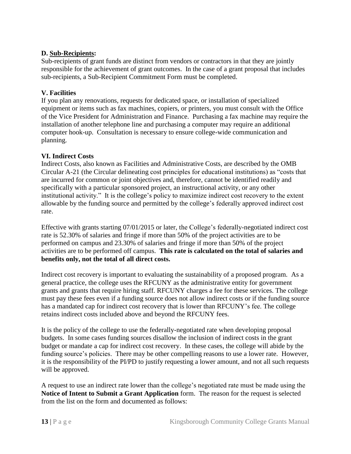### **D. Sub-Recipients:**

Sub-recipients of grant funds are distinct from vendors or contractors in that they are jointly responsible for the achievement of grant outcomes. In the case of a grant proposal that includes sub-recipients, a Sub-Recipient Commitment Form must be completed.

### **V. Facilities**

If you plan any renovations, requests for dedicated space, or installation of specialized equipment or items such as fax machines, copiers, or printers, you must consult with the Office of the Vice President for Administration and Finance. Purchasing a fax machine may require the installation of another telephone line and purchasing a computer may require an additional computer hook-up. Consultation is necessary to ensure college-wide communication and planning.

## **VI. Indirect Costs**

Indirect Costs, also known as Facilities and Administrative Costs, are described by the OMB Circular A-21 (the Circular delineating cost principles for educational institutions) as "costs that are incurred for common or joint objectives and, therefore, cannot be identified readily and specifically with a particular sponsored project, an instructional activity, or any other institutional activity." It is the college's policy to maximize indirect cost recovery to the extent allowable by the funding source and permitted by the college's federally approved indirect cost rate.

Effective with grants starting 07/01/2015 or later, the College's federally-negotiated indirect cost rate is 52.30% of salaries and fringe if more than 50% of the project activities are to be performed on campus and 23.30% of salaries and fringe if more than 50% of the project activities are to be performed off campus. **This rate is calculated on the total of salaries and benefits only, not the total of all direct costs.** 

Indirect cost recovery is important to evaluating the sustainability of a proposed program. As a general practice, the college uses the RFCUNY as the administrative entity for government grants and grants that require hiring staff. RFCUNY charges a fee for these services. The college must pay these fees even if a funding source does not allow indirect costs or if the funding source has a mandated cap for indirect cost recovery that is lower than RFCUNY's fee. The college retains indirect costs included above and beyond the RFCUNY fees.

It is the policy of the college to use the federally-negotiated rate when developing proposal budgets. In some cases funding sources disallow the inclusion of indirect costs in the grant budget or mandate a cap for indirect cost recovery. In these cases, the college will abide by the funding source's policies. There may be other compelling reasons to use a lower rate. However, it is the responsibility of the PI/PD to justify requesting a lower amount, and not all such requests will be approved.

A request to use an indirect rate lower than the college's negotiated rate must be made using the **Notice of Intent to Submit a Grant Application** form. The reason for the request is selected from the list on the form and documented as follows: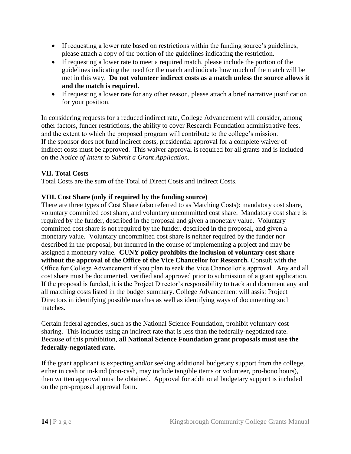- If requesting a lower rate based on restrictions within the funding source's guidelines, please attach a copy of the portion of the guidelines indicating the restriction.
- If requesting a lower rate to meet a required match, please include the portion of the guidelines indicating the need for the match and indicate how much of the match will be met in this way. **Do not volunteer indirect costs as a match unless the source allows it and the match is required.**
- If requesting a lower rate for any other reason, please attach a brief narrative justification for your position.

In considering requests for a reduced indirect rate, College Advancement will consider, among other factors, funder restrictions, the ability to cover Research Foundation administrative fees, and the extent to which the proposed program will contribute to the college's mission. If the sponsor does not fund indirect costs, presidential approval for a complete waiver of indirect costs must be approved. This waiver approval is required for all grants and is included on the *Notice of Intent to Submit a Grant Application*.

## **VII. Total Costs**

Total Costs are the sum of the Total of Direct Costs and Indirect Costs.

### **VIII. Cost Share (only if required by the funding source)**

There are three types of Cost Share (also referred to as Matching Costs): mandatory cost share, voluntary committed cost share, and voluntary uncommitted cost share. Mandatory cost share is required by the funder, described in the proposal and given a monetary value. Voluntary committed cost share is not required by the funder, described in the proposal, and given a monetary value. Voluntary uncommitted cost share is neither required by the funder nor described in the proposal, but incurred in the course of implementing a project and may be assigned a monetary value. **CUNY policy prohibits the inclusion of voluntary cost share without the approval of the Office of the Vice Chancellor for Research.** Consult with the Office for College Advancement if you plan to seek the Vice Chancellor's approval. Any and all cost share must be documented, verified and approved prior to submission of a grant application. If the proposal is funded, it is the Project Director's responsibility to track and document any and all matching costs listed in the budget summary. College Advancement will assist Project Directors in identifying possible matches as well as identifying ways of documenting such matches.

Certain federal agencies, such as the National Science Foundation, prohibit voluntary cost sharing. This includes using an indirect rate that is less than the federally-negotiated rate. Because of this prohibition, **all National Science Foundation grant proposals must use the federally-negotiated rate.**

If the grant applicant is expecting and/or seeking additional budgetary support from the college, either in cash or in-kind (non-cash, may include tangible items or volunteer, pro-bono hours), then written approval must be obtained. Approval for additional budgetary support is included on the pre-proposal approval form.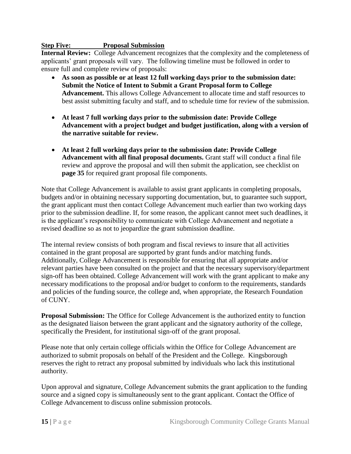### **Step Five: Proposal Submission**

**Internal Review:** College Advancement recognizes that the complexity and the completeness of applicants' grant proposals will vary. The following timeline must be followed in order to ensure full and complete review of proposals:

- **As soon as possible or at least 12 full working days prior to the submission date: Submit the Notice of Intent to Submit a Grant Proposal form to College Advancement.** This allows College Advancement to allocate time and staff resources to best assist submitting faculty and staff, and to schedule time for review of the submission.
- **At least 7 full working days prior to the submission date: Provide College Advancement with a project budget and budget justification, along with a version of the narrative suitable for review.**
- **At least 2 full working days prior to the submission date: Provide College Advancement with all final proposal documents.** Grant staff will conduct a final file review and approve the proposal and will then submit the application, see checklist on **page 35** for required grant proposal file components.

Note that College Advancement is available to assist grant applicants in completing proposals, budgets and/or in obtaining necessary supporting documentation, but, to guarantee such support, the grant applicant must then contact College Advancement much earlier than two working days prior to the submission deadline. If, for some reason, the applicant cannot meet such deadlines, it is the applicant's responsibility to communicate with College Advancement and negotiate a revised deadline so as not to jeopardize the grant submission deadline.

The internal review consists of both program and fiscal reviews to insure that all activities contained in the grant proposal are supported by grant funds and/or matching funds. Additionally, College Advancement is responsible for ensuring that all appropriate and/or relevant parties have been consulted on the project and that the necessary supervisory/department sign-off has been obtained. College Advancement will work with the grant applicant to make any necessary modifications to the proposal and/or budget to conform to the requirements, standards and policies of the funding source, the college and, when appropriate, the Research Foundation of CUNY.

**Proposal Submission:** The Office for College Advancement is the authorized entity to function as the designated liaison between the grant applicant and the signatory authority of the college, specifically the President, for institutional sign-off of the grant proposal.

Please note that only certain college officials within the Office for College Advancement are authorized to submit proposals on behalf of the President and the College. Kingsborough reserves the right to retract any proposal submitted by individuals who lack this institutional authority.

Upon approval and signature, College Advancement submits the grant application to the funding source and a signed copy is simultaneously sent to the grant applicant. Contact the Office of College Advancement to discuss online submission protocols.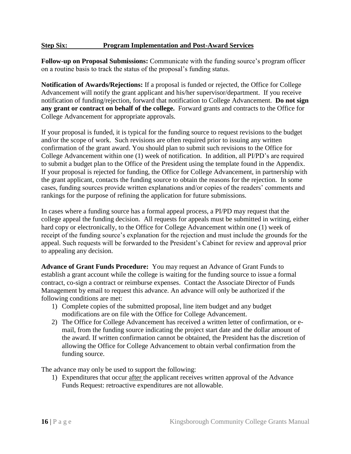#### **Step Six: Program Implementation and Post-Award Services**

**Follow-up on Proposal Submissions:** Communicate with the funding source's program officer on a routine basis to track the status of the proposal's funding status.

**Notification of Awards/Rejections:** If a proposal is funded or rejected, the Office for College Advancement will notify the grant applicant and his/her supervisor/department. If you receive notification of funding/rejection, forward that notification to College Advancement. **Do not sign any grant or contract on behalf of the college.** Forward grants and contracts to the Office for College Advancement for appropriate approvals.

If your proposal is funded, it is typical for the funding source to request revisions to the budget and/or the scope of work. Such revisions are often required prior to issuing any written confirmation of the grant award. You should plan to submit such revisions to the Office for College Advancement within one (1) week of notification. In addition, all PI/PD's are required to submit a budget plan to the Office of the President using the template found in the Appendix. If your proposal is rejected for funding, the Office for College Advancement, in partnership with the grant applicant, contacts the funding source to obtain the reasons for the rejection. In some cases, funding sources provide written explanations and/or copies of the readers' comments and rankings for the purpose of refining the application for future submissions.

In cases where a funding source has a formal appeal process, a PI/PD may request that the college appeal the funding decision. All requests for appeals must be submitted in writing, either hard copy or electronically, to the Office for College Advancement within one (1) week of receipt of the funding source's explanation for the rejection and must include the grounds for the appeal. Such requests will be forwarded to the President's Cabinet for review and approval prior to appealing any decision.

**Advance of Grant Funds Procedure:** You may request an Advance of Grant Funds to establish a grant account while the college is waiting for the funding source to issue a formal contract, co-sign a contract or reimburse expenses. Contact the Associate Director of Funds Management by email to request this advance. An advance will only be authorized if the following conditions are met:

- 1) Complete copies of the submitted proposal, line item budget and any budget modifications are on file with the Office for College Advancement.
- 2) The Office for College Advancement has received a written letter of confirmation, or email, from the funding source indicating the project start date and the dollar amount of the award. If written confirmation cannot be obtained, the President has the discretion of allowing the Office for College Advancement to obtain verbal confirmation from the funding source.

The advance may only be used to support the following:

1) Expenditures that occur after the applicant receives written approval of the Advance Funds Request: retroactive expenditures are not allowable.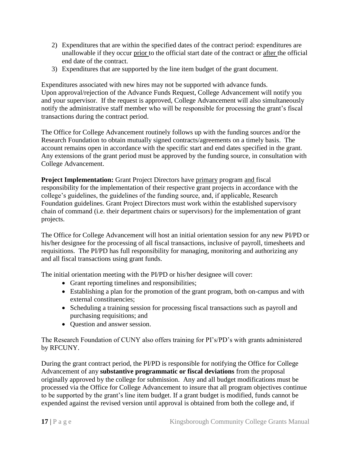- 2) Expenditures that are within the specified dates of the contract period: expenditures are unallowable if they occur prior to the official start date of the contract or after the official end date of the contract.
- 3) Expenditures that are supported by the line item budget of the grant document.

Expenditures associated with new hires may not be supported with advance funds. Upon approval/rejection of the Advance Funds Request, College Advancement will notify you and your supervisor. If the request is approved, College Advancement will also simultaneously notify the administrative staff member who will be responsible for processing the grant's fiscal transactions during the contract period.

The Office for College Advancement routinely follows up with the funding sources and/or the Research Foundation to obtain mutually signed contracts/agreements on a timely basis. The account remains open in accordance with the specific start and end dates specified in the grant. Any extensions of the grant period must be approved by the funding source, in consultation with College Advancement.

**Project Implementation:** Grant Project Directors have primary program and fiscal responsibility for the implementation of their respective grant projects in accordance with the college's guidelines, the guidelines of the funding source, and, if applicable, Research Foundation guidelines. Grant Project Directors must work within the established supervisory chain of command (i.e. their department chairs or supervisors) for the implementation of grant projects.

The Office for College Advancement will host an initial orientation session for any new PI/PD or his/her designee for the processing of all fiscal transactions, inclusive of payroll, timesheets and requisitions. The PI/PD has full responsibility for managing, monitoring and authorizing any and all fiscal transactions using grant funds.

The initial orientation meeting with the PI/PD or his/her designee will cover:

- Grant reporting timelines and responsibilities;
- Establishing a plan for the promotion of the grant program, both on-campus and with external constituencies;
- Scheduling a training session for processing fiscal transactions such as payroll and purchasing requisitions; and
- Question and answer session.

The Research Foundation of CUNY also offers training for PI's/PD's with grants administered by RFCUNY.

During the grant contract period, the PI/PD is responsible for notifying the Office for College Advancement of any **substantive programmatic or fiscal deviations** from the proposal originally approved by the college for submission. Any and all budget modifications must be processed via the Office for College Advancement to insure that all program objectives continue to be supported by the grant's line item budget. If a grant budget is modified, funds cannot be expended against the revised version until approval is obtained from both the college and, if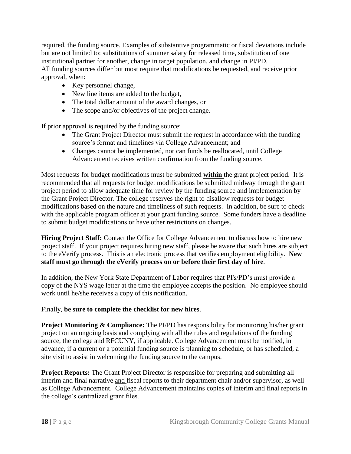required, the funding source. Examples of substantive programmatic or fiscal deviations include but are not limited to: substitutions of summer salary for released time, substitution of one institutional partner for another, change in target population, and change in PI/PD. All funding sources differ but most require that modifications be requested, and receive prior approval, when:

- Key personnel change,
- New line items are added to the budget,
- The total dollar amount of the award changes, or
- The scope and/or objectives of the project change.

If prior approval is required by the funding source:

- The Grant Project Director must submit the request in accordance with the funding source's format and timelines via College Advancement; and
- Changes cannot be implemented, nor can funds be reallocated, until College Advancement receives written confirmation from the funding source.

Most requests for budget modifications must be submitted **within** the grant project period. It is recommended that all requests for budget modifications be submitted midway through the grant project period to allow adequate time for review by the funding source and implementation by the Grant Project Director. The college reserves the right to disallow requests for budget modifications based on the nature and timeliness of such requests. In addition, be sure to check with the applicable program officer at your grant funding source. Some funders have a deadline to submit budget modifications or have other restrictions on changes.

**Hiring Project Staff:** Contact the Office for College Advancement to discuss how to hire new project staff. If your project requires hiring new staff, please be aware that such hires are subject to the eVerify process. This is an electronic process that verifies employment eligibility. **New staff must go through the eVerify process on or before their first day of hire**.

In addition, the New York State Department of Labor requires that PI's/PD's must provide a copy of the NYS wage letter at the time the employee accepts the position. No employee should work until he/she receives a copy of this notification.

#### Finally, **be sure to complete the checklist for new hires**.

**Project Monitoring & Compliance:** The PI/PD has responsibility for monitoring his/her grant project on an ongoing basis and complying with all the rules and regulations of the funding source, the college and RFCUNY, if applicable. College Advancement must be notified, in advance, if a current or a potential funding source is planning to schedule, or has scheduled, a site visit to assist in welcoming the funding source to the campus.

**Project Reports:** The Grant Project Director is responsible for preparing and submitting all interim and final narrative and fiscal reports to their department chair and/or supervisor, as well as College Advancement. College Advancement maintains copies of interim and final reports in the college's centralized grant files.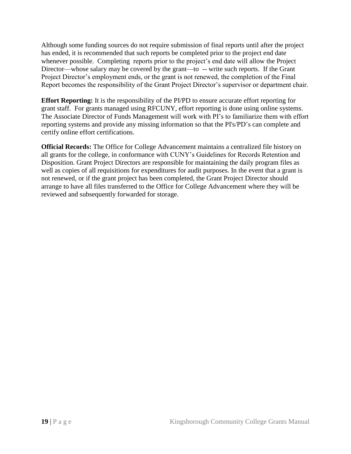Although some funding sources do not require submission of final reports until after the project has ended, it is recommended that such reports be completed prior to the project end date whenever possible. Completing reports prior to the project's end date will allow the Project Director—whose salary may be covered by the grant—to -- write such reports. If the Grant Project Director's employment ends, or the grant is not renewed, the completion of the Final Report becomes the responsibility of the Grant Project Director's supervisor or department chair.

**Effort Reporting:** It is the responsibility of the PI/PD to ensure accurate effort reporting for grant staff. For grants managed using RFCUNY, effort reporting is done using online systems. The Associate Director of Funds Management will work with PI's to familiarize them with effort reporting systems and provide any missing information so that the PI's/PD's can complete and certify online effort certifications.

**Official Records:** The Office for College Advancement maintains a centralized file history on all grants for the college, in conformance with CUNY's Guidelines for Records Retention and Disposition. Grant Project Directors are responsible for maintaining the daily program files as well as copies of all requisitions for expenditures for audit purposes. In the event that a grant is not renewed, or if the grant project has been completed, the Grant Project Director should arrange to have all files transferred to the Office for College Advancement where they will be reviewed and subsequently forwarded for storage.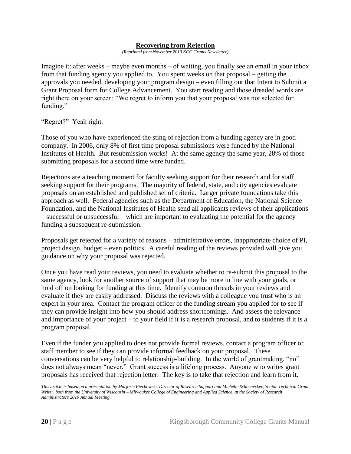#### **Recovering from Rejection**

*(Reprinted from November 2010 KCC Grants Newsletter)*

Imagine it: after weeks – maybe even months – of waiting, you finally see an email in your inbox from that funding agency you applied to. You spent weeks on that proposal – getting the approvals you needed, developing your program design – even filling out that Intent to Submit a Grant Proposal form for College Advancement. You start reading and those dreaded words are right there on your screen: "We regret to inform you that your proposal was not selected for funding."

"Regret?" Yeah right.

Those of you who have experienced the sting of rejection from a funding agency are in good company. In 2006, only 8% of first time proposal submissions were funded by the National Institutes of Health. But resubmission works! At the same agency the same year, 28% of those submitting proposals for a second time were funded.

Rejections are a teaching moment for faculty seeking support for their research and for staff seeking support for their programs. The majority of federal, state, and city agencies evaluate proposals on an established and published set of criteria. Larger private foundations take this approach as well. Federal agencies such as the Department of Education, the National Science Foundation, and the National Institutes of Health send all applicants reviews of their applications – successful or unsuccessful – which are important to evaluating the potential for the agency funding a subsequent re-submission.

Proposals get rejected for a variety of reasons – administrative errors, inappropriate choice of PI, project design, budget – even politics. A careful reading of the reviews provided will give you guidance on why your proposal was rejected.

Once you have read your reviews, you need to evaluate whether to re-submit this proposal to the same agency, look for another source of support that may be more in line with your goals, or hold off on looking for funding at this time. Identify common threads in your reviews and evaluate if they are easily addressed. Discuss the reviews with a colleague you trust who is an expert in your area. Contact the program officer of the funding stream you applied for to see if they can provide insight into how you should address shortcomings. And assess the relevance and importance of your project – to your field if it is a research proposal, and to students if it is a program proposal.

Even if the funder you applied to does not provide formal reviews, contact a program officer or staff member to see if they can provide informal feedback on your proposal. These conversations can be very helpful to relationship-building. In the world of grantmaking, "no" does not always mean "never." Grant success is a lifelong process. Anyone who writes grant proposals has received that rejection letter. The key is to take that rejection and learn from it.

*This article is based on a presentation by Marjorie Piechowski, Director of Research Support and Michelle Schoenecker, Senior Technical Grant Writer, both from the University of Wisconsin – Milwaukee College of Engineering and Applied Science, at the Society of Research Administrators 2010 Annual Meeting.*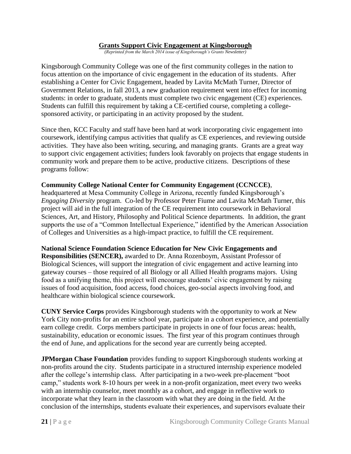#### **Grants Support Civic Engagement at Kingsborough**

*(Reprinted from the March 2014 issue of Kingsborough's Grants Newsletter)*

Kingsborough Community College was one of the first community colleges in the nation to focus attention on the importance of civic engagement in the education of its students. After establishing a Center for Civic Engagement, headed by Lavita McMath Turner, Director of Government Relations, in fall 2013, a new graduation requirement went into effect for incoming students: in order to graduate, students must complete two civic engagement (CE) experiences. Students can fulfill this requirement by taking a CE-certified course, completing a collegesponsored activity, or participating in an activity proposed by the student.

Since then, KCC Faculty and staff have been hard at work incorporating civic engagement into coursework, identifying campus activities that qualify as CE experiences, and reviewing outside activities. They have also been writing, securing, and managing grants. Grants are a great way to support civic engagement activities; funders look favorably on projects that engage students in community work and prepare them to be active, productive citizens. Descriptions of these programs follow:

#### **Community College National Center for Community Engagement (CCNCCE)**,

headquartered at Mesa Community College in Arizona, recently funded Kingsborough's *Engaging Diversity* program. Co-led by Professor Peter Fiume and Lavita McMath Turner, this project will aid in the full integration of the CE requirement into coursework in Behavioral Sciences, Art, and History, Philosophy and Political Science departments. In addition, the grant supports the use of a "Common Intellectual Experience," identified by the American Association of Colleges and Universities as a high-impact practice, to fulfill the CE requirement.

#### **National Science Foundation Science Education for New Civic Engagements and**

**Responsibilities (SENCER),** awarded to Dr. Anna Rozenboym, Assistant Professor of Biological Sciences, will support the integration of civic engagement and active learning into gateway courses – those required of all Biology or all Allied Health programs majors. Using food as a unifying theme, this project will encourage students' civic engagement by raising issues of food acquisition, food access, food choices, geo-social aspects involving food, and healthcare within biological science coursework.

**CUNY Service Corps** provides Kingsborough students with the opportunity to work at New York City non-profits for an entire school year, participate in a cohort experience, and potentially earn college credit. Corps members participate in projects in one of four focus areas: health, sustainability, education or economic issues. The first year of this program continues through the end of June, and applications for the second year are currently being accepted.

**JPMorgan Chase Foundation** provides funding to support Kingsborough students working at non-profits around the city. Students participate in a structured internship experience modeled after the college's internship class. After participating in a two-week pre-placement "boot" camp," students work 8-10 hours per week in a non-profit organization, meet every two weeks with an internship counselor, meet monthly as a cohort, and engage in reflective work to incorporate what they learn in the classroom with what they are doing in the field. At the conclusion of the internships, students evaluate their experiences, and supervisors evaluate their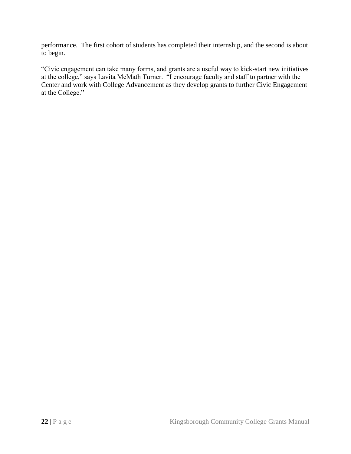performance. The first cohort of students has completed their internship, and the second is about to begin.

―Civic engagement can take many forms, and grants are a useful way to kick-start new initiatives at the college," says Lavita McMath Turner. "I encourage faculty and staff to partner with the Center and work with College Advancement as they develop grants to further Civic Engagement at the College."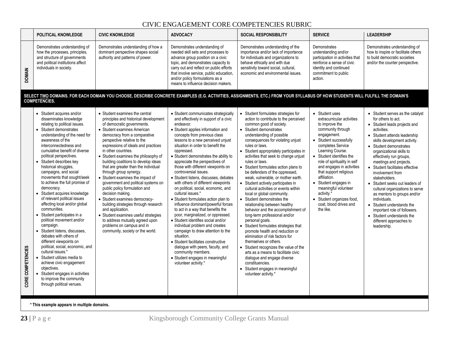# CIVIC ENGAGEMENT CORE COMPETENCIES RUBRIC

|                   | POLITICAL KNOWLEDGE                                                                                                                                                                                                                                                                                                                                                                                                                                                                                                                                                                                                                                                                                                                                                                                                                                                                                                               | <b>CIVIC KNOWLEDGE</b>                                                                                                                                                                                                                                                                                                                                                                                                                                                                                                                                                                                                                                                                                                                                                                       | <b>ADVOCACY</b>                                                                                                                                                                                                                                                                                                                                                                                                                                                                                                                                                                                                                                                                                                                                                                                                                                                                                                                                                                             | <b>SOCIAL RESPONSIBILITY</b>                                                                                                                                                                                                                                                                                                                                                                                                                                                                                                                                                                                                                                                                                                                                                                                                                                                                                                                                                                                                                        | <b>SERVICE</b>                                                                                                                                                                                                                                                                                                                                                                                                                                         | <b>LEADERSHIP</b>                                                                                                                                                                                                                                                                                                                                                                                                                                                                                                                                                                                                |
|-------------------|-----------------------------------------------------------------------------------------------------------------------------------------------------------------------------------------------------------------------------------------------------------------------------------------------------------------------------------------------------------------------------------------------------------------------------------------------------------------------------------------------------------------------------------------------------------------------------------------------------------------------------------------------------------------------------------------------------------------------------------------------------------------------------------------------------------------------------------------------------------------------------------------------------------------------------------|----------------------------------------------------------------------------------------------------------------------------------------------------------------------------------------------------------------------------------------------------------------------------------------------------------------------------------------------------------------------------------------------------------------------------------------------------------------------------------------------------------------------------------------------------------------------------------------------------------------------------------------------------------------------------------------------------------------------------------------------------------------------------------------------|---------------------------------------------------------------------------------------------------------------------------------------------------------------------------------------------------------------------------------------------------------------------------------------------------------------------------------------------------------------------------------------------------------------------------------------------------------------------------------------------------------------------------------------------------------------------------------------------------------------------------------------------------------------------------------------------------------------------------------------------------------------------------------------------------------------------------------------------------------------------------------------------------------------------------------------------------------------------------------------------|-----------------------------------------------------------------------------------------------------------------------------------------------------------------------------------------------------------------------------------------------------------------------------------------------------------------------------------------------------------------------------------------------------------------------------------------------------------------------------------------------------------------------------------------------------------------------------------------------------------------------------------------------------------------------------------------------------------------------------------------------------------------------------------------------------------------------------------------------------------------------------------------------------------------------------------------------------------------------------------------------------------------------------------------------------|--------------------------------------------------------------------------------------------------------------------------------------------------------------------------------------------------------------------------------------------------------------------------------------------------------------------------------------------------------------------------------------------------------------------------------------------------------|------------------------------------------------------------------------------------------------------------------------------------------------------------------------------------------------------------------------------------------------------------------------------------------------------------------------------------------------------------------------------------------------------------------------------------------------------------------------------------------------------------------------------------------------------------------------------------------------------------------|
| <b>DOMAIN</b>     | Demonstrates understanding of<br>how the processes, principles,<br>and structure of governments<br>and political institutions affect<br>individuals in society.                                                                                                                                                                                                                                                                                                                                                                                                                                                                                                                                                                                                                                                                                                                                                                   | Demonstrates understanding of how a<br>dominant perspective shapes social<br>authority and patterns of power.                                                                                                                                                                                                                                                                                                                                                                                                                                                                                                                                                                                                                                                                                | Demonstrates understanding of<br>needed skill sets and processes to<br>advance group position on a civic<br>topic, and demonstrates capacity to<br>carry out and reflect on public efforts<br>that involve service, public education,<br>and/or policy formulations as a<br>means to influence decision makers.                                                                                                                                                                                                                                                                                                                                                                                                                                                                                                                                                                                                                                                                             | Demonstrates understanding of the<br>importance and/or lack of importance<br>for individuals and organizations to<br>behave ethically and with due<br>sensitivity toward social, cultural,<br>economic and environmental issues.                                                                                                                                                                                                                                                                                                                                                                                                                                                                                                                                                                                                                                                                                                                                                                                                                    | Demonstrates<br>understanding and/or<br>participation in activities that<br>reinforce a sense of civic<br>identity and continued<br>commitment to public<br>action.                                                                                                                                                                                                                                                                                    | Demonstrates understanding of<br>how to inspire or facilitate others<br>to build democratic societies<br>and/or the counter perspective.                                                                                                                                                                                                                                                                                                                                                                                                                                                                         |
|                   | <b>COMPETENCIES.</b>                                                                                                                                                                                                                                                                                                                                                                                                                                                                                                                                                                                                                                                                                                                                                                                                                                                                                                              | SELECT TWO DOMAINS. FOR EACH DOMAIN YOU CHOOSE, DESCRIBE CONCRETE EXAMPLES (E.G. ACTIVITIES, ASSIGNMENTS, ETC.) FROM YOUR SYLLABUS OF HOW STUDENTS WILL FULFILL THE DOMAIN'S                                                                                                                                                                                                                                                                                                                                                                                                                                                                                                                                                                                                                 |                                                                                                                                                                                                                                                                                                                                                                                                                                                                                                                                                                                                                                                                                                                                                                                                                                                                                                                                                                                             |                                                                                                                                                                                                                                                                                                                                                                                                                                                                                                                                                                                                                                                                                                                                                                                                                                                                                                                                                                                                                                                     |                                                                                                                                                                                                                                                                                                                                                                                                                                                        |                                                                                                                                                                                                                                                                                                                                                                                                                                                                                                                                                                                                                  |
| CORE COMPETENCIES | • Student acquires and/or<br>disseminates knowledge<br>relating to political issues.<br>• Student demonstrates<br>understanding of the need for<br>awareness of the<br>interconnectedness and<br>cumulative benefit of diverse<br>political perspectives.<br>• Student describes key<br>historical struggles,<br>campaigns, and social<br>movements that sought/seek<br>to achieve the full promise of<br>democracy.<br>Student acquires knowledge<br>of relevant political issues<br>affecting local and/or global<br>communities.<br>• Student participates in a<br>political movement and/or<br>campaign.<br>• Student listens, discusses.<br>debates with others of<br>different viewpoints on<br>political, social, economic, and<br>cultural issues.*<br>• Student utilizes media to<br>achieve civic engagement<br>objectives.<br>• Student engages in activities<br>to improve the community<br>through political venues. | • Student examines the central<br>principles and historical development<br>of democratic governments.<br>• Student examines American<br>democracy from a comparative<br>perspective relative to the<br>expressions of ideals and practices<br>in other countries.<br>• Student examines the philosophy of<br>building coalitions to develop ideas<br>that are greater than the individual<br>through group synergy.<br>• Student examines the impact of<br>government and political systems on<br>public policy formulation and<br>decision making.<br>• Student examines democracy-<br>building strategies through research<br>and application.<br>• Student examines useful strategies<br>to address mutually agreed upon<br>problems on campus and in<br>community, society or the world. | • Student communicates strategically<br>and effectively in support of a civic<br>endeavor.<br>• Student applies information and<br>concepts from previous class<br>lessons to a new perceived unjust<br>situation in order to benefit the<br>oppressed.<br>• Student demonstrates the ability to<br>appreciate the perspectives of<br>those with different viewpoints on<br>controversial issues.<br>• Student listens, discusses, debates<br>with others of different viewpoints<br>on political, social, economic, and<br>cultural issues.*<br>• Student formulates action plan to<br>influence dominant/powerful forces<br>to act in a way that benefits the<br>poor, marginalized, or oppressed.<br>• Student identifies social and/or<br>individual problem and creates<br>campaign to draw attention to the<br>situation.<br>· Student facilitates constructive<br>dialogue with peers, faculty, and<br>community members.<br>· Student engages in meaningful<br>volunteer activity.* | • Student formulates strategies for<br>action to contribute to the perceived<br>common good of society.<br>• Student demonstrates<br>understanding of possible<br>consequences for violating unjust<br>rules or laws.<br>• Student appropriately participates in<br>activities that seek to change unjust<br>rules or laws.<br>• Student formulates action plans to<br>be defenders of the oppressed,<br>weak, vulnerable, or mother earth.<br>• Student actively participates in<br>cultural activities or events within<br>local or global community.<br>• Student demonstrates the<br>relationship between healthy<br>behavior and the accomplishment of<br>long-term professional and/or<br>personal goals.<br>• Student formulates strategies that<br>promote health and reduction or<br>elimination of risk factors for<br>themselves or others.<br>• Student recognizes the value of the<br>arts as a means to facilitate civic<br>dialogue and engage diverse<br>constituencies.<br>• Student engages in meaningful<br>volunteer activity.* | • Student uses<br>extracurricular activities<br>to improve the<br>community through<br>engagement.<br>• Student successfully<br>completes Service<br>Learning Course.<br>• Student identifies the<br>role of spirituality in self<br>and engages in activities<br>that support religious<br>affiliation.<br>• Student engages in<br>meaningful volunteer<br>activity. <sup>*</sup><br>• Student organizes food,<br>coat. blood drives and<br>the like. | • Student serves as the catalyst<br>for others to act.<br>• Student leads projects and<br>activities.<br>• Student attends leadership<br>skills development activity.<br>• Student demonstrates<br>organizational skills to<br>effectively run groups,<br>meetings and projects.<br>• Student facilitates effective<br>involvement from<br>stakeholders.<br>• Student seeks out leaders of<br>cultural organizations to serve<br>as mentors to groups and/or<br>individuals.<br>• Student understands the<br>important role of followers.<br>• Student understands the<br>different approaches to<br>leadership. |

**\* This example appears in multiple domains.**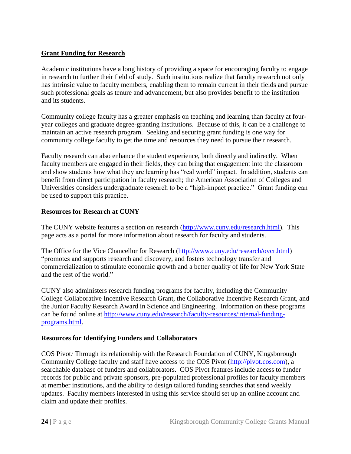### **Grant Funding for Research**

Academic institutions have a long history of providing a space for encouraging faculty to engage in research to further their field of study. Such institutions realize that faculty research not only has intrinsic value to faculty members, enabling them to remain current in their fields and pursue such professional goals as tenure and advancement, but also provides benefit to the institution and its students.

Community college faculty has a greater emphasis on teaching and learning than faculty at fouryear colleges and graduate degree-granting institutions. Because of this, it can be a challenge to maintain an active research program. Seeking and securing grant funding is one way for community college faculty to get the time and resources they need to pursue their research.

Faculty research can also enhance the student experience, both directly and indirectly. When faculty members are engaged in their fields, they can bring that engagement into the classroom and show students how what they are learning has "real world" impact. In addition, students can benefit from direct participation in faculty research; the American Association of Colleges and Universities considers undergraduate research to be a "high-impact practice." Grant funding can be used to support this practice.

### **Resources for Research at CUNY**

The CUNY website features a section on research [\(http://www.cuny.edu/research.html\)](http://www.cuny.edu/research.html). This page acts as a portal for more information about research for faculty and students.

The Office for the Vice Chancellor for Research [\(http://www.cuny.edu/research/ovcr.html\)](http://www.cuny.edu/research/ovcr.html) ―promotes and supports research and discovery, and fosters technology transfer and commercialization to stimulate economic growth and a better quality of life for New York State and the rest of the world."

CUNY also administers research funding programs for faculty, including the Community College Collaborative Incentive Research Grant, the Collaborative Incentive Research Grant, and the Junior Faculty Research Award in Science and Engineering. Information on these programs can be found online at [http://www.cuny.edu/research/faculty-resources/internal-funding](http://www.cuny.edu/research/faculty-resources/internal-funding-programs.html)[programs.html.](http://www.cuny.edu/research/faculty-resources/internal-funding-programs.html)

### **Resources for Identifying Funders and Collaborators**

COS Pivot*:* Through its relationship with the Research Foundation of CUNY, Kingsborough Community College faculty and staff have access to the COS Pivot [\(http://pivot.cos.com\)](http://pivot.cos.com/), a searchable database of funders and collaborators. COS Pivot features include access to funder records for public and private sponsors, pre-populated professional profiles for faculty members at member institutions, and the ability to design tailored funding searches that send weekly updates. Faculty members interested in using this service should set up an online account and claim and update their profiles.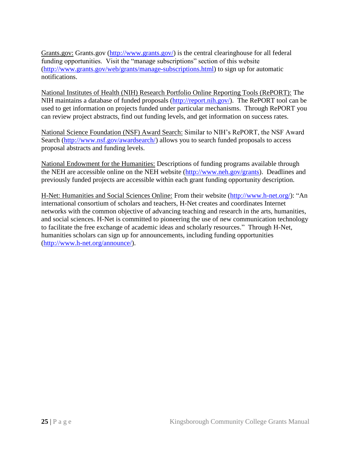Grants.gov: Grants.gov [\(http://www.grants.gov/\)](http://www.grants.gov/) is the central clearinghouse for all federal funding opportunities. Visit the "manage subscriptions" section of this website [\(http://www.grants.gov/web/grants/manage-subscriptions.html\)](http://www.grants.gov/web/grants/manage-subscriptions.html) to sign up for automatic notifications.

National Institutes of Health (NIH) Research Portfolio Online Reporting Tools (RePORT): The NIH maintains a database of funded proposals [\(http://report.nih.gov/\)](http://report.nih.gov/). The RePORT tool can be used to get information on projects funded under particular mechanisms. Through RePORT you can review project abstracts, find out funding levels, and get information on success rates.

National Science Foundation (NSF) Award Search: Similar to NIH's RePORT, the NSF Award Search [\(http://www.nsf.gov/awardsearch/\)](http://www.nsf.gov/awardsearch/) allows you to search funded proposals to access proposal abstracts and funding levels.

National Endowment for the Humanities: Descriptions of funding programs available through the NEH are accessible online on the NEH website [\(http://www.neh.gov/grants\)](http://www.neh.gov/grants). Deadlines and previously funded projects are accessible within each grant funding opportunity description.

H-Net: Humanities and Social Sciences Online: From their website [\(http://www.h-net.org/\)](http://www.h-net.org/): "An international consortium of scholars and teachers, H-Net creates and coordinates Internet networks with the common objective of advancing teaching and research in the arts, humanities, and social sciences. H-Net is committed to pioneering the use of new communication technology to facilitate the free exchange of academic ideas and scholarly resources." Through H-Net, humanities scholars can sign up for announcements, including funding opportunities [\(http://www.h-net.org/announce/\)](http://www.h-net.org/announce/).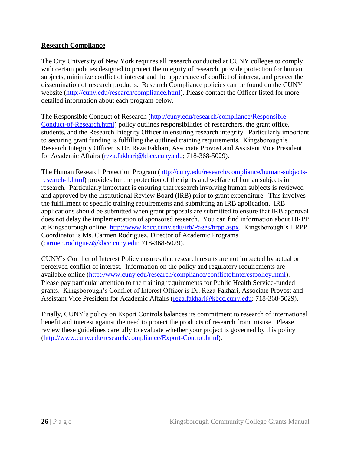### **Research Compliance**

The City University of New York requires all research conducted at CUNY colleges to comply with certain policies designed to protect the integrity of research, provide protection for human subjects, minimize conflict of interest and the appearance of conflict of interest, and protect the dissemination of research products. Research Compliance policies can be found on the CUNY website [\(http://cuny.edu/research/compliance.html\)](http://cuny.edu/research/compliance.html). Please contact the Officer listed for more detailed information about each program below.

The Responsible Conduct of Research [\(http://cuny.edu/research/compliance/Responsible-](http://cuny.edu/research/compliance/Responsible-Conduct-of-Research.html)[Conduct-of-Research.html\)](http://cuny.edu/research/compliance/Responsible-Conduct-of-Research.html) policy outlines responsibilities of researchers, the grant office, students, and the Research Integrity Officer in ensuring research integrity. Particularly important to securing grant funding is fulfilling the outlined training requirements. Kingsborough's Research Integrity Officer is Dr. Reza Fakhari, Associate Provost and Assistant Vice President for Academic Affairs [\(reza.fakhari@kbcc.cuny.edu;](mailto:reza.fakhari@kbcc.cuny.edu) 718-368-5029).

The Human Research Protection Program [\(http://cuny.edu/research/compliance/human-subjects](http://cuny.edu/research/compliance/human-subjects-research-1.html)[research-1.html\)](http://cuny.edu/research/compliance/human-subjects-research-1.html) provides for the protection of the rights and welfare of human subjects in research. Particularly important is ensuring that research involving human subjects is reviewed and approved by the Institutional Review Board (IRB) prior to grant expenditure. This involves the fulfillment of specific training requirements and submitting an IRB application. IRB applications should be submitted when grant proposals are submitted to ensure that IRB approval does not delay the implementation of sponsored research. You can find information about HRPP at Kingsborough online: [http://www.kbcc.cuny.edu/irb/Pages/hrpp.aspx.](http://www.kbcc.cuny.edu/irb/Pages/hrpp.aspx) Kingsborough's HRPP Coordinator is Ms. Carmen Rodriguez, Director of Academic Programs [\(carmen.rodriguez@kbcc.cuny.edu;](mailto:carmen.rodriguez@kbcc.cuny.edu) 718-368-5029).

CUNY's Conflict of Interest Policy ensures that research results are not impacted by actual or perceived conflict of interest. Information on the policy and regulatory requirements are available online [\(http://www.cuny.edu/research/compliance/conflictofinterestpolicy.html\)](http://www.cuny.edu/research/compliance/conflictofinterestpolicy.html). Please pay particular attention to the training requirements for Public Health Service-funded grants. Kingsborough's Conflict of Interest Officer is Dr. Reza Fakhari, Associate Provost and Assistant Vice President for Academic Affairs [\(reza.fakhari@kbcc.cuny.edu;](mailto:reza.fakhari@kbcc.cuny.edu) 718-368-5029).

Finally, CUNY's policy on Export Controls balances its commitment to research of international benefit and interest against the need to protect the products of research from misuse. Please review these guidelines carefully to evaluate whether your project is governed by this policy [\(http://www.cuny.edu/research/compliance/Export-Control.html\)](http://www.cuny.edu/research/compliance/Export-Control.html).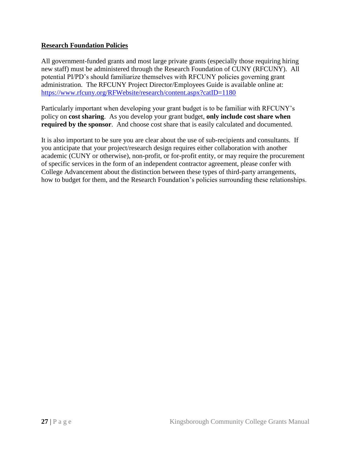### **Research Foundation Policies**

All government-funded grants and most large private grants (especially those requiring hiring new staff) must be administered through the Research Foundation of CUNY (RFCUNY). All potential PI/PD's should familiarize themselves with RFCUNY policies governing grant administration. The RFCUNY Project Director/Employees Guide is available online at: <https://www.rfcuny.org/RFWebsite/research/content.aspx?catID=1180>

Particularly important when developing your grant budget is to be familiar with RFCUNY's policy on **cost sharing**. As you develop your grant budget, **only include cost share when required by the sponsor**. And choose cost share that is easily calculated and documented.

It is also important to be sure you are clear about the use of sub-recipients and consultants. If you anticipate that your project/research design requires either collaboration with another academic (CUNY or otherwise), non-profit, or for-profit entity, or may require the procurement of specific services in the form of an independent contractor agreement, please confer with College Advancement about the distinction between these types of third-party arrangements, how to budget for them, and the Research Foundation's policies surrounding these relationships.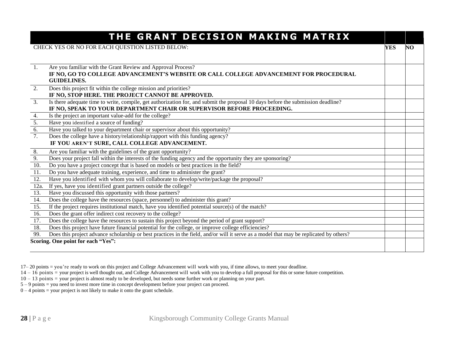|                  | THE GRANT DECISION MAKING MATRIX                                                                                                        |     |    |
|------------------|-----------------------------------------------------------------------------------------------------------------------------------------|-----|----|
|                  | CHECK YES OR NO FOR EACH QUESTION LISTED BELOW:                                                                                         | YES | NO |
|                  |                                                                                                                                         |     |    |
|                  |                                                                                                                                         |     |    |
| <sup>1.</sup>    | Are you familiar with the Grant Review and Approval Process?                                                                            |     |    |
|                  | IF NO, GO TO COLLEGE ADVANCEMENT'S WEBSITE OR CALL COLLEGE ADVANCEMENT FOR PROCEDURAL<br><b>GUIDELINES.</b>                             |     |    |
| 2.               | Does this project fit within the college mission and priorities?                                                                        |     |    |
|                  | IF NO, STOP HERE. THE PROJECT CANNOT BE APPROVED.                                                                                       |     |    |
| 3.               | Is there adequate time to write, compile, get authorization for, and submit the proposal 10 days before the submission deadline?        |     |    |
|                  | IF NO, SPEAK TO YOUR DEPARTMENT CHAIR OR SUPERVISOR BEFORE PROCEEDING.                                                                  |     |    |
| 4.               | Is the project an important value-add for the college?                                                                                  |     |    |
| $\overline{5}$ . | Have you identified a source of funding?                                                                                                |     |    |
| $\overline{6}$ . | Have you talked to your department chair or supervisor about this opportunity?                                                          |     |    |
| 7.               | Does the college have a history/relationship/rapport with this funding agency?                                                          |     |    |
|                  | IF YOU AREN'T SURE, CALL COLLEGE ADVANCEMENT.                                                                                           |     |    |
| 8.               | Are you familiar with the guidelines of the grant opportunity?                                                                          |     |    |
| 9.               | Does your project fall within the interests of the funding agency and the opportunity they are sponsoring?                              |     |    |
| 10.              | Do you have a project concept that is based on models or best practices in the field?                                                   |     |    |
| 11.              | Do you have adequate training, experience, and time to administer the grant?                                                            |     |    |
| 12.              | Have you identified with whom you will collaborate to develop/write/package the proposal?                                               |     |    |
| 12a.             | If yes, have you identified grant partners outside the college?                                                                         |     |    |
| 13.              | Have you discussed this opportunity with those partners?                                                                                |     |    |
| 14.              | Does the college have the resources (space, personnel) to administer this grant?                                                        |     |    |
| 15.              | If the project requires institutional match, have you identified potential source(s) of the match?                                      |     |    |
| 16.              | Does the grant offer indirect cost recovery to the college?                                                                             |     |    |
| 17.              | Does the college have the resources to sustain this project beyond the period of grant support?                                         |     |    |
| 18.              | Does this project have future financial potential for the college, or improve college efficiencies?                                     |     |    |
| 99.              | Does this project advance scholarship or best practices in the field, and/or will it serve as a model that may be replicated by others? |     |    |
|                  | Scoring. One point for each "Yes":                                                                                                      |     |    |

17– 20 points = you're ready to work on this project and College Advancement will work with you, if time allows, to meet your deadline.

14 – 16 points = your project is well thought out, and College Advancement will work with you to develop a full proposal for this or some future competition.

10 – 13 points = your project is almost ready to be developed, but needs some further work or planning on your part.

5 – 9 points = you need to invest more time in concept development before your project can proceed.

 $0 - 4$  points = your project is not likely to make it onto the grant schedule.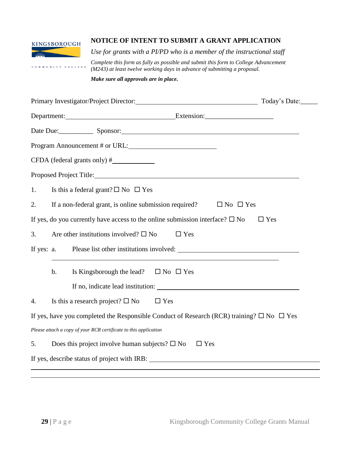

COMMUNITY COLLEGE

## **NOTICE OF INTENT TO SUBMIT A GRANT APPLICATION**

*Use for grants with a PI/PD who is a member of the instructional staff*

*Complete this form as fully as possible and submit this form to College Advancement (M243) at least twelve working days in advance of submitting a proposal.*

*Make sure all approvals are in place.*

| Primary Investigator/Project Director: The Context Context of Today's Date:                               |                      |
|-----------------------------------------------------------------------------------------------------------|----------------------|
| Department: Extension: Extension:                                                                         |                      |
| Date Due: Sponsor: Sponsor:                                                                               |                      |
| Program Announcement # or URL:                                                                            |                      |
|                                                                                                           |                      |
|                                                                                                           |                      |
| Is this a federal grant? $\square$ No $\square$ Yes<br>1.                                                 |                      |
| If a non-federal grant, is online submission required?<br>2.                                              | $\Box$ No $\Box$ Yes |
| If yes, do you currently have access to the online submission interface? $\square$ No                     | $\Box$ Yes           |
| Are other institutions involved? $\square$ No<br>3.<br>$\Box$ Yes                                         |                      |
| If yes: a.                                                                                                |                      |
| Is Kingsborough the lead? $\square$ No $\square$ Yes<br>$b$ .                                             |                      |
| If no, indicate lead institution:                                                                         |                      |
| Is this a research project? $\square$ No<br>$\Box$ Yes<br>4.                                              |                      |
| If yes, have you completed the Responsible Conduct of Research (RCR) training? $\square$ No $\square$ Yes |                      |
| Please attach a copy of your RCR certificate to this application                                          |                      |
| Does this project involve human subjects? $\square$ No<br>$\Box$ Yes<br>5.                                |                      |
| If yes, describe status of project with IRB:                                                              |                      |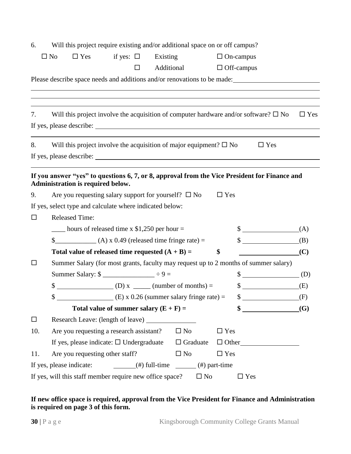| 6.     |                          |                                   |                | Will this project require existing and/or additional space on or off campus?                        |              |                 |            |                   |                                                                                               |            |
|--------|--------------------------|-----------------------------------|----------------|-----------------------------------------------------------------------------------------------------|--------------|-----------------|------------|-------------------|-----------------------------------------------------------------------------------------------|------------|
|        | $\Box$ No                | $\Box$ Yes                        | if yes: $\Box$ |                                                                                                     | Existing     |                 |            | $\Box$ On-campus  |                                                                                               |            |
|        |                          |                                   |                | □                                                                                                   | Additional   |                 |            | $\Box$ Off-campus |                                                                                               |            |
|        |                          |                                   |                |                                                                                                     |              |                 |            |                   | Please describe space needs and additions and/or renovations to be made:                      |            |
|        |                          |                                   |                |                                                                                                     |              |                 |            |                   |                                                                                               |            |
|        |                          |                                   |                |                                                                                                     |              |                 |            |                   |                                                                                               |            |
| 7.     |                          |                                   |                |                                                                                                     |              |                 |            |                   | Will this project involve the acquisition of computer hardware and/or software? $\square$ No  | $\Box$ Yes |
|        |                          |                                   |                |                                                                                                     |              |                 |            |                   |                                                                                               |            |
|        |                          |                                   |                |                                                                                                     |              |                 |            |                   |                                                                                               |            |
| 8.     |                          |                                   |                | Will this project involve the acquisition of major equipment? $\square$ No                          |              |                 |            |                   | $\Box$ Yes                                                                                    |            |
|        |                          |                                   |                |                                                                                                     |              |                 |            |                   |                                                                                               |            |
|        |                          |                                   |                |                                                                                                     |              |                 |            |                   | If you answer "yes" to questions 6, 7, or 8, approval from the Vice President for Finance and |            |
|        |                          | Administration is required below. |                |                                                                                                     |              |                 |            |                   |                                                                                               |            |
| 9.     |                          |                                   |                | Are you requesting salary support for yourself? $\square$ No                                        |              |                 | $\Box$ Yes |                   |                                                                                               |            |
|        |                          |                                   |                | If yes, select type and calculate where indicated below:                                            |              |                 |            |                   |                                                                                               |            |
| $\Box$ | <b>Released Time:</b>    |                                   |                |                                                                                                     |              |                 |            |                   |                                                                                               |            |
|        |                          |                                   |                | $\frac{1}{2}$ hours of released time x \$1,250 per hour =                                           |              |                 |            |                   | $\S$ (A)                                                                                      |            |
|        |                          |                                   |                | $\frac{1}{2}$ (A) x 0.49 (released time fringe rate) =                                              |              |                 |            |                   | $\frac{1}{2}$                                                                                 | (B)        |
|        |                          |                                   |                | Total value of released time requested $(A + B) =$                                                  |              |                 | \$         |                   |                                                                                               | (C)        |
| □      |                          |                                   |                |                                                                                                     |              |                 |            |                   | Summer Salary (for most grants, faculty may request up to 2 months of summer salary)          |            |
|        |                          |                                   |                | Summer Salary: $\frac{1}{2}$ =                                                                      |              |                 |            |                   | $\sqrt[6]{\hspace{2cm}(\mathrm{D})}$                                                          |            |
|        | \$                       |                                   |                |                                                                                                     |              |                 |            |                   | $\sim$                                                                                        | (E)        |
|        | \$                       |                                   |                |                                                                                                     |              |                 |            |                   | (E) x 0.26 (summer salary fringe rate) = $$$ (F)                                              |            |
|        |                          |                                   |                | Total value of summer salary $(E + F) =$                                                            |              |                 |            |                   | $\sim$                                                                                        | (G)        |
| $\Box$ |                          |                                   |                |                                                                                                     |              |                 |            |                   |                                                                                               |            |
| 10.    |                          |                                   |                | Are you requesting a research assistant?                                                            | $\square$ No |                 | $\Box$ Yes |                   |                                                                                               |            |
|        |                          |                                   |                | If yes, please indicate: $\Box$ Undergraduate                                                       |              | $\Box$ Graduate |            |                   | $\Box$ Other                                                                                  |            |
| 11.    |                          | Are you requesting other staff?   |                |                                                                                                     | $\square$ No |                 | $\Box$ Yes |                   |                                                                                               |            |
|        | If yes, please indicate: |                                   |                | $\frac{1}{\sqrt{1-\frac{1}{2}}\pi}$ (#) full-time $\frac{1}{\sqrt{1-\frac{1}{2}}\pi}$ (#) part-time |              |                 |            |                   |                                                                                               |            |
|        |                          |                                   |                | If yes, will this staff member require new office space?                                            |              | $\square$ No    |            | $\square$ Yes     |                                                                                               |            |

#### **If new office space is required, approval from the Vice President for Finance and Administration is required on page 3 of this form.**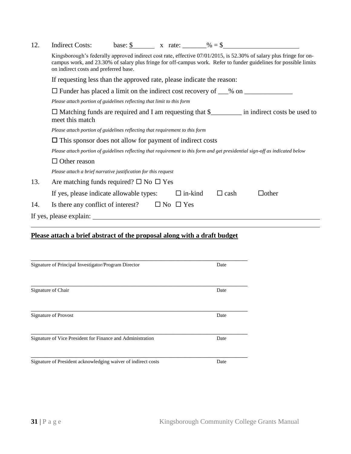| 12. | Indirect Costs: | base: \$ | x rate: | $% = $$ |
|-----|-----------------|----------|---------|---------|
|-----|-----------------|----------|---------|---------|

| Kingsborough's federally approved indirect cost rate, effective 07/01/2015, is 52.30% of salary plus fringe for on- |
|---------------------------------------------------------------------------------------------------------------------|
| campus work, and 23.30% of salary plus fringe for off-campus work. Refer to funder guidelines for possible limits   |
| on indirect costs and preferred base.                                                                               |

|     | If requesting less than the approved rate, please indicate the reason:                                                        |  |  |  |  |  |  |  |
|-----|-------------------------------------------------------------------------------------------------------------------------------|--|--|--|--|--|--|--|
|     | $\Box$ Funder has placed a limit on the indirect cost recovery of ___% on _____                                               |  |  |  |  |  |  |  |
|     | Please attach portion of guidelines reflecting that limit to this form                                                        |  |  |  |  |  |  |  |
|     | $\Box$ Matching funds are required and I am requesting that $\$\$ in indirect costs be used to<br>meet this match             |  |  |  |  |  |  |  |
|     | Please attach portion of guidelines reflecting that requirement to this form                                                  |  |  |  |  |  |  |  |
|     | $\Box$ This sponsor does not allow for payment of indirect costs                                                              |  |  |  |  |  |  |  |
|     | Please attach portion of guidelines reflecting that requirement to this form and get presidential sign-off as indicated below |  |  |  |  |  |  |  |
|     | $\Box$ Other reason                                                                                                           |  |  |  |  |  |  |  |
|     | Please attach a brief narrative justification for this request                                                                |  |  |  |  |  |  |  |
| 13. | Are matching funds required? $\square$ No $\square$ Yes                                                                       |  |  |  |  |  |  |  |
|     | If yes, please indicate allowable types:<br>$\Box$ in-kind<br>$\Box$ other<br>$\Box$ cash                                     |  |  |  |  |  |  |  |
| 14. | Is there any conflict of interest?<br>$\Box$ No $\Box$ Yes                                                                    |  |  |  |  |  |  |  |
|     | If yes, please explain:                                                                                                       |  |  |  |  |  |  |  |

# **Please attach a brief abstract of the proposal along with a draft budget**

| Signature of Principal Investigator/Program Director          | Date |
|---------------------------------------------------------------|------|
|                                                               |      |
|                                                               |      |
| Signature of Chair                                            | Date |
|                                                               |      |
| Signature of Provost                                          | Date |
|                                                               |      |
| Signature of Vice President for Finance and Administration    | Date |
|                                                               |      |
| Signature of President acknowledging waiver of indirect costs | Date |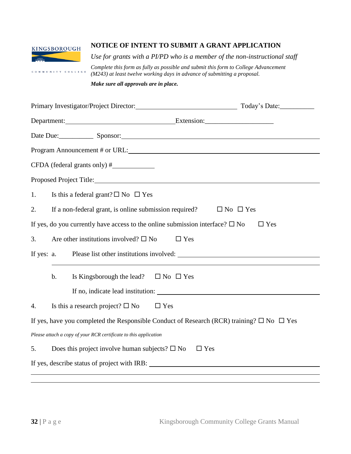#### **NOTICE OF INTENT TO SUBMIT A GRANT APPLICATION** KINGSBOROUGH *Use for grants with a PI/PD who is a member of the non-instructional staff Complete this form as fully as possible and submit this form to College Advancement*  COMMUNITY COLLEGE *(M243) at least twelve working days in advance of submitting a proposal.*

*Make sure all approvals are in place.*

|            | Primary Investigator/Project Director: Today's Date: Today's Date:                                        |            |
|------------|-----------------------------------------------------------------------------------------------------------|------------|
|            | Department: Extension: Extension:                                                                         |            |
|            | Date Due: Sponsor: Sponsor:                                                                               |            |
|            | Program Announcement # or URL:                                                                            |            |
|            |                                                                                                           |            |
|            |                                                                                                           |            |
| 1.         | Is this a federal grant? $\square$ No $\square$ Yes                                                       |            |
| 2.         | If a non-federal grant, is online submission required?<br>$\Box$ No $\Box$ Yes                            |            |
|            | If yes, do you currently have access to the online submission interface? $\square$ No                     | $\Box$ Yes |
| 3.         | Are other institutions involved? $\square$ No<br>$\Box$ Yes                                               |            |
| If yes: a. | Please list other institutions involved:                                                                  |            |
|            | $b$ .<br>Is Kingsborough the lead? $\square$ No $\square$ Yes                                             |            |
| 4.         | Is this a research project? $\square$ No<br>$\Box$ Yes                                                    |            |
|            | If yes, have you completed the Responsible Conduct of Research (RCR) training? $\square$ No $\square$ Yes |            |
|            | Please attach a copy of your RCR certificate to this application                                          |            |
| 5.         | Does this project involve human subjects? $\square$ No<br>$\Box$ Yes                                      |            |
|            | If yes, describe status of project with IRB:                                                              |            |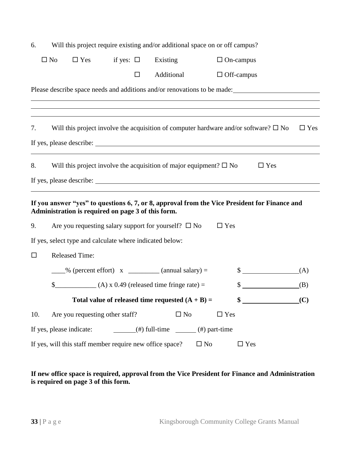| 6.  | Will this project require existing and/or additional space on or off campus? |                                                                            |                                                                                                     |          |              |           |                  |                                                                                               |            |
|-----|------------------------------------------------------------------------------|----------------------------------------------------------------------------|-----------------------------------------------------------------------------------------------------|----------|--------------|-----------|------------------|-----------------------------------------------------------------------------------------------|------------|
|     | $\square$ No                                                                 | $\Box$ Yes if yes: $\Box$                                                  |                                                                                                     | Existing |              |           | $\Box$ On-campus |                                                                                               |            |
|     |                                                                              |                                                                            | $\Box$                                                                                              |          | Additional   |           |                  | $\Box$ Off-campus                                                                             |            |
|     |                                                                              |                                                                            |                                                                                                     |          |              |           |                  | Please describe space needs and additions and/or renovations to be made:                      |            |
|     |                                                                              |                                                                            |                                                                                                     |          |              |           |                  |                                                                                               |            |
| 7.  |                                                                              |                                                                            |                                                                                                     |          |              |           |                  | Will this project involve the acquisition of computer hardware and/or software? $\square$ No  | $\Box$ Yes |
| 8.  |                                                                              | Will this project involve the acquisition of major equipment? $\square$ No |                                                                                                     |          |              |           |                  | $\Box$ Yes                                                                                    |            |
|     |                                                                              |                                                                            |                                                                                                     |          |              |           |                  |                                                                                               |            |
|     |                                                                              | Administration is required on page 3 of this form.                         |                                                                                                     |          |              |           |                  | If you answer "yes" to questions 6, 7, or 8, approval from the Vice President for Finance and |            |
| 9.  |                                                                              | Are you requesting salary support for yourself? $\square$ No               |                                                                                                     |          |              |           | $\Box$ Yes       |                                                                                               |            |
|     |                                                                              | If yes, select type and calculate where indicated below:                   |                                                                                                     |          |              |           |                  |                                                                                               |            |
| □   | <b>Released Time:</b>                                                        |                                                                            |                                                                                                     |          |              |           |                  |                                                                                               |            |
|     |                                                                              | $\frac{1}{2}$ % (percent effort) x $\frac{1}{2}$ (annual salary) =         |                                                                                                     |          |              |           |                  | $\frac{\text{S}}{\text{S}}$                                                                   | (A)        |
|     | \$                                                                           | $(A) \times 0.49$ (released time fringe rate) =                            |                                                                                                     |          |              |           |                  | \$                                                                                            | (B)        |
|     |                                                                              | Total value of released time requested $(A + B) =$                         |                                                                                                     |          |              |           |                  | \$                                                                                            | (C)        |
| 10. |                                                                              | Are you requesting other staff?                                            |                                                                                                     |          | $\square$ No |           | $\Box$ Yes       |                                                                                               |            |
|     | If yes, please indicate:                                                     |                                                                            | $\frac{1}{\sqrt{1-\frac{1}{2}}\pi}$ (#) full-time $\frac{1}{\sqrt{1-\frac{1}{2}}\pi}$ (#) part-time |          |              |           |                  |                                                                                               |            |
|     |                                                                              | If yes, will this staff member require new office space?                   |                                                                                                     |          |              | $\Box$ No |                  | $\Box$ Yes                                                                                    |            |

### **If new office space is required, approval from the Vice President for Finance and Administration is required on page 3 of this form.**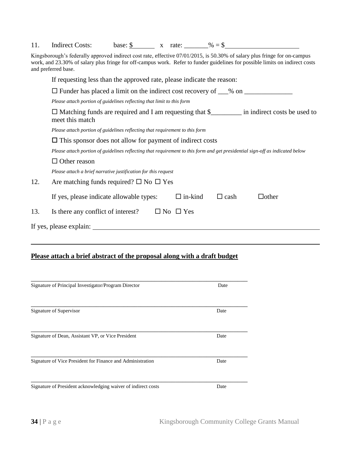|  | <b>Indirect Costs:</b> | base: \$ |  | x rate: | $% =$ \$ |  |
|--|------------------------|----------|--|---------|----------|--|
|--|------------------------|----------|--|---------|----------|--|

Kingsborough's federally approved indirect cost rate, effective 07/01/2015, is 50.30% of salary plus fringe for on-campus work, and 23.30% of salary plus fringe for off-campus work. Refer to funder guidelines for possible limits on indirect costs and preferred base.

|     | If requesting less than the approved rate, please indicate the reason:                                                        |  |  |  |  |
|-----|-------------------------------------------------------------------------------------------------------------------------------|--|--|--|--|
|     | $\Box$ Funder has placed a limit on the indirect cost recovery of ___% on ________                                            |  |  |  |  |
|     | Please attach portion of guidelines reflecting that limit to this form                                                        |  |  |  |  |
|     | $\Box$ Matching funds are required and I am requesting that \$___________ in indirect costs be used to<br>meet this match     |  |  |  |  |
|     | Please attach portion of guidelines reflecting that requirement to this form                                                  |  |  |  |  |
|     | $\Box$ This sponsor does not allow for payment of indirect costs                                                              |  |  |  |  |
|     | Please attach portion of guidelines reflecting that requirement to this form and get presidential sign-off as indicated below |  |  |  |  |
|     | Other reason<br>⊔                                                                                                             |  |  |  |  |
|     | Please attach a brief narrative justification for this request                                                                |  |  |  |  |
| 12. | Are matching funds required? $\square$ No $\square$ Yes                                                                       |  |  |  |  |
|     | $\Box$ in-kind<br>If yes, please indicate allowable types:<br>$\Box$ other<br>$\Box$ cash                                     |  |  |  |  |
| 13. | Is there any conflict of interest?<br>$\Box$ No $\Box$ Yes                                                                    |  |  |  |  |
|     | If yes, please explain:                                                                                                       |  |  |  |  |
|     |                                                                                                                               |  |  |  |  |

## **Please attach a brief abstract of the proposal along with a draft budget**

| Signature of Principal Investigator/Program Director          | Date |
|---------------------------------------------------------------|------|
|                                                               |      |
| Signature of Supervisor                                       | Date |
| Signature of Dean, Assistant VP, or Vice President            | Date |
| Signature of Vice President for Finance and Administration    | Date |
| Signature of President acknowledging waiver of indirect costs | Date |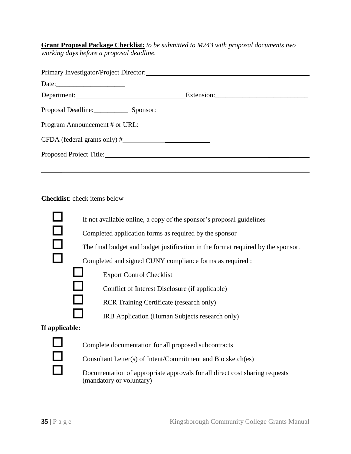**Grant Proposal Package Checklist:** *to be submitted to M243 with proposal documents two working days before a proposal deadline.*

| Date:                                |  |  |  |  |
|--------------------------------------|--|--|--|--|
| Department:                          |  |  |  |  |
| Proposal Deadline: Sponsor: Sponsor: |  |  |  |  |
|                                      |  |  |  |  |
|                                      |  |  |  |  |
|                                      |  |  |  |  |
|                                      |  |  |  |  |

**Checklist**: check items below



Consultant Letter(s) of Intent/Commitment and Bio sketch(es)

 Documentation of appropriate approvals for all direct cost sharing requests (mandatory or voluntary)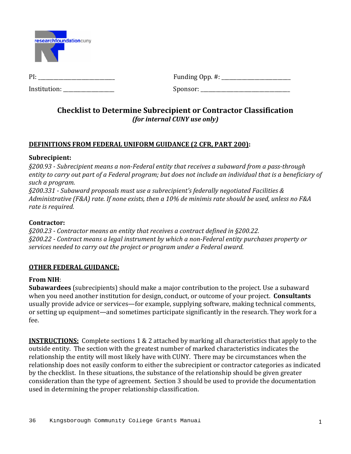

Institution: \_\_\_\_\_\_\_\_\_\_\_\_\_\_\_\_\_\_\_\_ Sponsor: \_\_\_\_\_\_\_\_\_\_\_\_\_\_\_\_\_\_\_\_\_\_\_\_\_\_\_\_\_\_\_\_\_\_\_ 

PI: \_\_\_\_\_\_\_\_\_\_\_\_\_\_\_\_\_\_\_\_\_\_\_\_\_\_\_\_\_\_ Funding Opp. #: \_\_\_\_\_\_\_\_\_\_\_\_\_\_\_\_\_\_\_\_\_\_\_\_\_\_\_ 

# **Checklist to Determine Subrecipient or Contractor Classification** *(for internal CUNY use only)*

# **DEFINITIONS FROM FEDERAL UNIFORM GUIDANCE (2 CFR, PART 200):**

# **Subrecipient:**

*§200.93 ‐ Subrecipient means a non‐Federal entity that receives a subaward from a pass‐through* entity to carry out part of a Federal program; but does not include an individual that is a beneficiary of *such a program.* 

*§200.331 ‐ Subaward proposals must use a subrecipient's federally negotiated Facilities &* Administrative (F&A) rate. If none exists, then a 10% de minimis rate should be used, unless no F&A *rate is required.*

# **Contractor:**

*§200.23 ‐ Contractor means an entity that receives a contract defined in §200.22. §200.22 ‐ Contract means a legal instrument by which a non‐Federal entity purchases property or services needed to carry out the project or program under a Federal award.*

# **OTHER FEDERAL GUIDANCE:**

# **From NIH**:

**Subawardees** (subrecipients) should make a major contribution to the project. Use a subaward when you need another institution for design, conduct, or outcome of your project. **Consultants** usually provide advice or services—for example, supplying software, making technical comments, or setting up equipment—and sometimes participate significantly in the research. They work for a fee. 

**INSTRUCTIONS:** Complete sections 1 & 2 attached by marking all characteristics that apply to the outside entity. The section with the greatest number of marked characteristics indicates the relationship the entity will most likely have with CUNY. There may be circumstances when the relationship does not easily conform to either the subrecipient or contractor categories as indicated by the checklist. In these situations, the substance of the relationship should be given greater consideration than the type of agreement. Section 3 should be used to provide the documentation used in determining the proper relationship classification.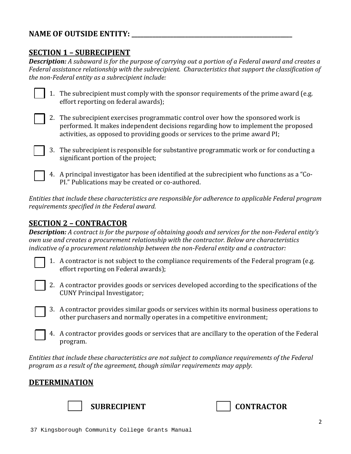# **NAME OF OUTSIDE ENTITY: \_\_\_\_\_\_\_\_\_\_\_\_\_\_\_\_\_\_\_\_\_\_\_\_\_\_\_\_\_\_\_\_\_\_\_\_\_\_\_\_\_\_\_\_\_\_\_\_\_\_\_\_\_\_**

# **SECTION 1 – SUBRECIPIENT**

**Description:** A subaward is for the purpose of carrying out a portion of a Federal award and creates a *Federal assistance relationship with the subrecipient. Characteristics that support the classification of the non‐Federal entity as a subrecipient include:* 

|  | 1. The subrecipient must comply with the sponsor requirements of the prime award (e.g. |
|--|----------------------------------------------------------------------------------------|
|  | effort reporting on federal awards);                                                   |

- 2. The subrecipient exercises programmatic control over how the sponsored work is performed. It makes independent decisions regarding how to implement the proposed activities, as opposed to providing goods or services to the prime award PI;
- 3. The subrecipient is responsible for substantive programmatic work or for conducting a significant portion of the project;
	- 4. A principal investigator has been identified at the subrecipient who functions as a "Co-PI." Publications may be created or co-authored.

*Entities that include these characteristics are responsible for adherence to applicable Federal program requirements specified in the Federal award.*

# **SECTION 2 – CONTRACTOR**

**Description:** A contract is for the purpose of obtaining goods and services for the non-Federal entity's *own use and creates a procurement relationship with the contractor. Below are characteristics indicative of a procurement relationship between the non‐Federal entity and a contractor:*

- 1. A contractor is not subject to the compliance requirements of the Federal program (e.g. effort reporting on Federal awards);
- 2. A contractor provides goods or services developed according to the specifications of the CUNY Principal Investigator;
- 3. A contractor provides similar goods or services within its normal business operations to other purchasers and normally operates in a competitive environment;
- 4. A contractor provides goods or services that are ancillary to the operation of the Federal program.

*Entities that include these characteristics are not subject to compliance requirements of the Federal program as a result of the agreement, though similar requirements may apply.*

# **DETERMINATION**



 **SUBRECIPIENT CONTRACTOR**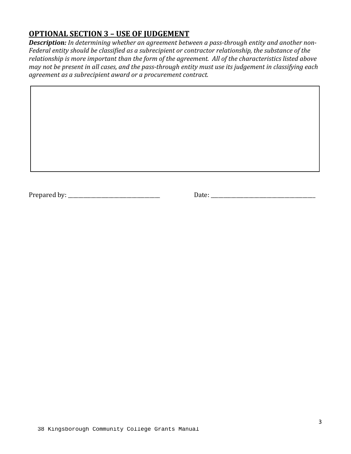# **OPTIONAL SECTION 3 – USE OF JUDGEMENT**

*Description: In determining whether an agreement between a pass‐through entity and another non‐ Federal entity should be classified as a subrecipient or contractor relationship, the substance of the relationship is more important than the form of the agreement. All of the characteristics listed above* may not be present in all cases, and the pass-through entity must use its judgement in classifying each *agreement as a subrecipient award or a procurement contract.*

Prepared by: \_\_\_\_\_\_\_\_\_\_\_\_\_\_\_\_\_\_\_\_\_\_\_\_\_\_\_\_\_\_\_\_\_\_\_\_ Date: \_\_\_\_\_\_\_\_\_\_\_\_\_\_\_\_\_\_\_\_\_\_\_\_\_\_\_\_\_\_\_\_\_\_\_\_\_\_\_\_\_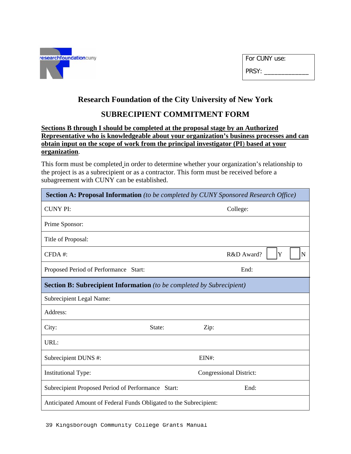

| For CUNY use: |  |
|---------------|--|
| PRSY:         |  |

# **Research Foundation of the City University of New York**

# **SUBRECIPIENT COMMITMENT FORM**

### **Sections B through I should be completed at the proposal stage by an Authorized Representative who is knowledgeable about your organization's business processes and can obtain input on the scope of work from the principal investigator (PI**) **based at your organization**.

This form must be completed in order to determine whether your organization's relationship to the project is as a subrecipient or as a contractor. This form must be received before a subagreement with CUNY can be established.

| <b>Section A: Proposal Information</b> (to be completed by CUNY Sponsored Research Office) |                                                                    |       |                                |   |  |             |
|--------------------------------------------------------------------------------------------|--------------------------------------------------------------------|-------|--------------------------------|---|--|-------------|
| <b>CUNY PI:</b>                                                                            |                                                                    |       | College:                       |   |  |             |
| Prime Sponsor:                                                                             |                                                                    |       |                                |   |  |             |
| Title of Proposal:                                                                         |                                                                    |       |                                |   |  |             |
| CFDA#:                                                                                     |                                                                    |       | R&D Award?                     | Y |  | $\mathbf N$ |
| Proposed Period of Performance Start:                                                      |                                                                    |       | End:                           |   |  |             |
| <b>Section B: Subrecipient Information</b> (to be completed by Subrecipient)               |                                                                    |       |                                |   |  |             |
| Subrecipient Legal Name:                                                                   |                                                                    |       |                                |   |  |             |
| Address:                                                                                   |                                                                    |       |                                |   |  |             |
| City:<br>State:                                                                            |                                                                    | Zip:  |                                |   |  |             |
| URL:                                                                                       |                                                                    |       |                                |   |  |             |
| Subrecipient DUNS #:                                                                       |                                                                    | EIN#: |                                |   |  |             |
| <b>Institutional Type:</b>                                                                 |                                                                    |       | <b>Congressional District:</b> |   |  |             |
| Subrecipient Proposed Period of Performance                                                | Start:                                                             |       | End:                           |   |  |             |
|                                                                                            | Anticipated Amount of Federal Funds Obligated to the Subrecipient: |       |                                |   |  |             |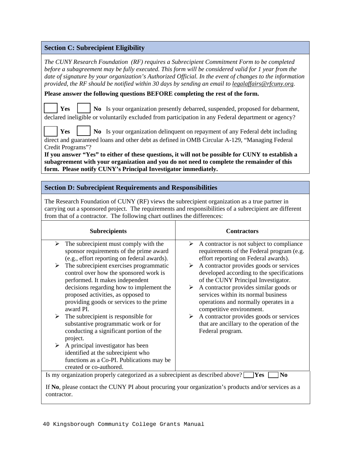#### **Section C: Subrecipient Eligibility**

*The CUNY Research Foundation (RF) requires a Subrecipient Commitment Form to be completed before a subagreement may be fully executed. This form will be considered valid for 1 year from the date of signature by your organization's Authorized Official. In the event of changes to the information provided, the RF should be notified within 30 days by sending an email to legalaffairs@rfcuny.org.*

**Please answer the following questions BEFORE completing the rest of the form.** 

**Yes**  $\vert$  No Is your organization presently debarred, suspended, proposed for debarment, declared ineligible or voluntarily excluded from participation in any Federal department or agency?

**Yes**  $\vert$  No Is your organization delinquent on repayment of any Federal debt including direct and guaranteed loans and other debt as defined in OMB Circular A-129, "Managing Federal Credit Programs"?

**If you answer "Yes" to either of these questions, it will not be possible for CUNY to establish a subagreement with your organization and you do not need to complete the remainder of this form. Please notify CUNY's Principal Investigator immediately.**

#### **Section D: Subrecipient Requirements and Responsibilities**

The Research Foundation of CUNY (RF) views the subrecipient organization as a true partner in carrying out a sponsored project. The requirements and responsibilities of a subrecipient are different from that of a contractor. The following chart outlines the differences:

|   | <b>Subrecipients</b>                                                                                                   |   | <b>Contractors</b>                                                                                        |  |
|---|------------------------------------------------------------------------------------------------------------------------|---|-----------------------------------------------------------------------------------------------------------|--|
| ➤ | The subrecipient must comply with the<br>sponsor requirements of the prime award                                       | ➤ | A contractor is not subject to compliance<br>requirements of the Federal program (e.g.                    |  |
| ➤ | (e.g., effort reporting on federal awards).<br>The subrecipient exercises programmatic                                 | ➤ | effort reporting on Federal awards).<br>A contractor provides goods or services                           |  |
|   | control over how the sponsored work is<br>performed. It makes independent                                              |   | developed according to the specifications<br>of the CUNY Principal Investigator.                          |  |
|   | decisions regarding how to implement the<br>proposed activities, as opposed to                                         | ➤ | A contractor provides similar goods or<br>services within its normal business                             |  |
|   | providing goods or services to the prime<br>award PI.                                                                  |   | operations and normally operates in a<br>competitive environment.                                         |  |
| ➤ | The subrecipient is responsible for<br>substantive programmatic work or for<br>conducting a significant portion of the | ➤ | A contractor provides goods or services<br>that are ancillary to the operation of the<br>Federal program. |  |
|   | project.                                                                                                               |   |                                                                                                           |  |
| ➤ | A principal investigator has been                                                                                      |   |                                                                                                           |  |
|   | identified at the subrecipient who                                                                                     |   |                                                                                                           |  |
|   | functions as a Co-PI. Publications may be                                                                              |   |                                                                                                           |  |
|   | created or co-authored.                                                                                                |   |                                                                                                           |  |
|   | Is my organization properly categorized as a subrecipient as described above?                                          |   | $\bf Yes$<br>N <sub>0</sub>                                                                               |  |
|   | If No, please contact the CUNY PI about procuring your organization's products and/or services as a                    |   |                                                                                                           |  |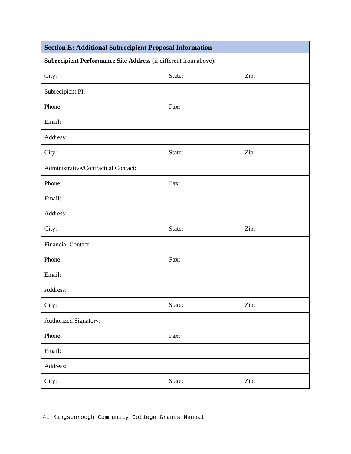| <b>Section E: Additional Subrecipient Proposal Information</b>   |        |      |  |  |
|------------------------------------------------------------------|--------|------|--|--|
| Subrecipient Performance Site Address (if different from above): |        |      |  |  |
| City:                                                            | State: | Zip: |  |  |
| Subrecipient PI:                                                 |        |      |  |  |
| Phone:                                                           | Fax:   |      |  |  |
| Email:                                                           |        |      |  |  |
| Address:                                                         |        |      |  |  |
| City:                                                            | State: | Zip: |  |  |
| Administrative/Contractual Contact:                              |        |      |  |  |
| Phone:                                                           | Fax:   |      |  |  |
| Email:                                                           |        |      |  |  |
| Address:                                                         |        |      |  |  |
| City:                                                            | State: | Zip: |  |  |
| <b>Financial Contact:</b>                                        |        |      |  |  |
| Phone:                                                           | Fax:   |      |  |  |
| Email:                                                           |        |      |  |  |
| Address:                                                         |        |      |  |  |
| City:                                                            | State: | Zip: |  |  |
| Authorized Signatory:                                            |        |      |  |  |
| Phone:                                                           | Fax:   |      |  |  |
| Email:                                                           |        |      |  |  |
| Address:                                                         |        |      |  |  |
| City:                                                            | State: | Zip: |  |  |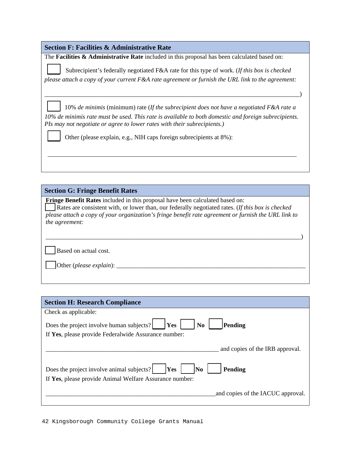| <b>Section F: Facilities &amp; Administrative Rate</b>                                                                                                                           |
|----------------------------------------------------------------------------------------------------------------------------------------------------------------------------------|
| The <b>Facilities &amp; Administrative Rate</b> included in this proposal has been calculated based on:                                                                          |
| Subrecipient's federally negotiated F&A rate for this type of work. (If this box is checked                                                                                      |
| please attach a copy of your current F&A rate agreement or furnish the URL link to the agreement:                                                                                |
|                                                                                                                                                                                  |
| 10% de minimis (minimum) rate (If the subrecipient does not have a negotiated $F\&A$ rate a                                                                                      |
| 10% de minimis rate must be used. This rate is available to both domestic and foreign subrecipients.<br>PIs may not negotiate or agree to lower rates with their subrecipients.) |
| Other (please explain, e.g., NIH caps foreign subrecipients at 8%):                                                                                                              |
|                                                                                                                                                                                  |
|                                                                                                                                                                                  |

#### **Section G: Fringe Benefit Rates**

**Fringe Benefit Rates** included in this proposal have been calculated based on: \_\_\_ Rates are consistent with, or lower than, our federally negotiated rates. (*If this box is checked please attach a copy of your organization's fringe benefit rate agreement or furnish the URL link to the agreement:*

\_\_\_\_\_\_\_\_\_\_\_\_\_\_\_\_\_\_\_\_\_\_\_\_\_\_\_\_\_\_\_\_\_\_\_\_\_\_\_\_\_\_\_\_\_\_\_\_\_\_\_\_\_\_\_\_\_\_\_\_\_\_\_\_\_\_\_\_\_\_\_\_\_\_\_\_\_\_\_\_\_)

Based on actual cost.

\_\_\_ Other (*please explain*): \_\_\_\_\_\_\_\_\_\_\_\_\_\_\_\_\_\_\_\_\_\_\_\_\_\_\_\_\_\_\_\_\_\_\_\_\_\_\_\_\_\_\_\_\_\_\_\_\_\_\_\_\_\_\_\_\_\_\_\_

| <b>Section H: Research Compliance</b>                                                                                               |
|-------------------------------------------------------------------------------------------------------------------------------------|
| Check as applicable:                                                                                                                |
| Does the project involve human subjects?<br>Yes<br>N <sub>0</sub><br>Pending                                                        |
| If Yes, please provide Federal wide Assurance number:                                                                               |
| and copies of the IRB approval.                                                                                                     |
| Does the project involve animal subjects?<br>Yes<br>No<br><b>Pending</b><br>If Yes, please provide Animal Welfare Assurance number: |
| and copies of the IACUC approval.                                                                                                   |

42 Kingsborough Community College Grants Manual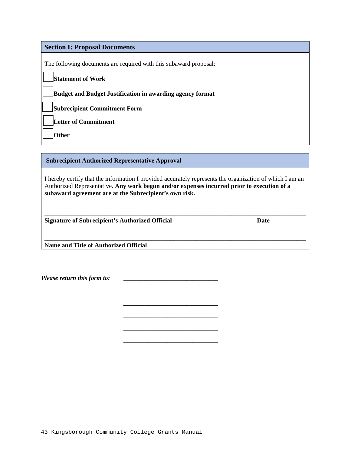#### **Section I: Proposal Documents**

The following documents are required with this subaward proposal:

\_\_ **Statement of Work** 

\_\_ **Budget and Budget Justification in awarding agency format** 

\_\_ **Subrecipient Commitment Form** 

\_\_ **Letter of Commitment**

\_\_ **Other** 

**Subrecipient Authorized Representative Approval** 

I hereby certify that the information I provided accurately represents the organization of which I am an Authorized Representative. **Any work begun and/or expenses incurred prior to execution of a subaward agreement are at the Subrecipient's own risk.** 

**\_\_\_\_\_\_\_\_\_\_\_\_\_\_\_\_\_\_\_\_\_\_\_\_\_\_\_\_\_\_\_\_\_\_\_\_\_\_\_\_\_\_\_\_\_\_\_\_\_\_\_\_\_\_\_\_\_\_\_\_\_\_\_\_\_\_\_\_\_\_\_\_\_\_\_\_\_\_\_\_\_\_\_** 

**\_\_\_\_\_\_\_\_\_\_\_\_\_\_\_\_\_\_\_\_\_\_\_\_\_\_\_\_\_\_\_\_\_\_\_\_\_\_\_\_\_\_\_\_\_\_\_\_\_\_\_\_\_\_\_\_\_\_\_\_\_\_\_\_\_\_\_\_\_\_\_\_\_\_\_\_\_\_\_\_\_\_\_**

*\_\_\_\_\_\_\_\_\_\_\_\_\_\_\_\_\_\_\_\_\_\_\_\_\_\_\_\_\_\_* 

*\_\_\_\_\_\_\_\_\_\_\_\_\_\_\_\_\_\_\_\_\_\_\_\_\_\_\_\_\_\_* 

*\_\_\_\_\_\_\_\_\_\_\_\_\_\_\_\_\_\_\_\_\_\_\_\_\_\_\_\_\_\_* 

*\_\_\_\_\_\_\_\_\_\_\_\_\_\_\_\_\_\_\_\_\_\_\_\_\_\_\_\_\_\_* 

*\_\_\_\_\_\_\_\_\_\_\_\_\_\_\_\_\_\_\_\_\_\_\_\_\_\_\_\_\_\_* 

**Signature of Subrecipient's Authorized Official Date Date Construction Date** 

**Name and Title of Authorized Official**

*Please return this form to:*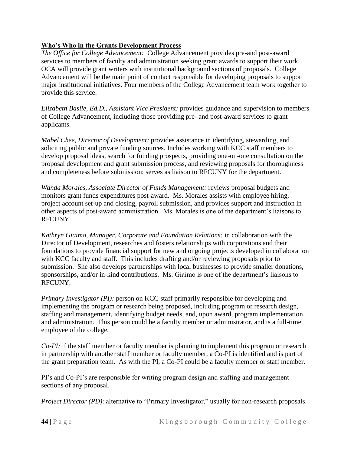## **Who's Who in the Grants Development Process**

*The Office for College Advancement:* College Advancement provides pre-and post-award services to members of faculty and administration seeking grant awards to support their work. OCA will provide grant writers with institutional background sections of proposals. College Advancement will be the main point of contact responsible for developing proposals to support major institutional initiatives. Four members of the College Advancement team work together to provide this service:

*Elizabeth Basile, Ed.D., Assistant Vice President:* provides guidance and supervision to members of College Advancement, including those providing pre- and post-award services to grant applicants.

*Mabel Chee, Director of Development:* provides assistance in identifying, stewarding, and soliciting public and private funding sources. Includes working with KCC staff members to develop proposal ideas, search for funding prospects, providing one-on-one consultation on the proposal development and grant submission process, and reviewing proposals for thoroughness and completeness before submission; serves as liaison to RFCUNY for the department.

*Wanda Morales, Associate Director of Funds Management:* reviews proposal budgets and monitors grant funds expenditures post-award. Ms. Morales assists with employee hiring, project account set-up and closing, payroll submission, and provides support and instruction in other aspects of post-award administration. Ms. Morales is one of the department's liaisons to RFCUNY.

*Kathryn Giaimo, Manager, Corporate and Foundation Relations:* in collaboration with the Director of Development, researches and fosters relationships with corporations and their foundations to provide financial support for new and ongoing projects developed in collaboration with KCC faculty and staff. This includes drafting and/or reviewing proposals prior to submission. She also develops partnerships with local businesses to provide smaller donations, sponsorships, and/or in-kind contributions. Ms. Giaimo is one of the department's liaisons to RFCUNY.

*Primary Investigator (PI):* person on KCC staff primarily responsible for developing and implementing the program or research being proposed, including program or research design, staffing and management, identifying budget needs, and, upon award, program implementation and administration. This person could be a faculty member or administrator, and is a full-time employee of the college.

*Co-PI:* if the staff member or faculty member is planning to implement this program or research in partnership with another staff member or faculty member, a Co-PI is identified and is part of the grant preparation team. As with the PI, a Co-PI could be a faculty member or staff member.

PI's and Co-PI's are responsible for writing program design and staffing and management sections of any proposal.

*Project Director (PD)*: alternative to "Primary Investigator," usually for non-research proposals.